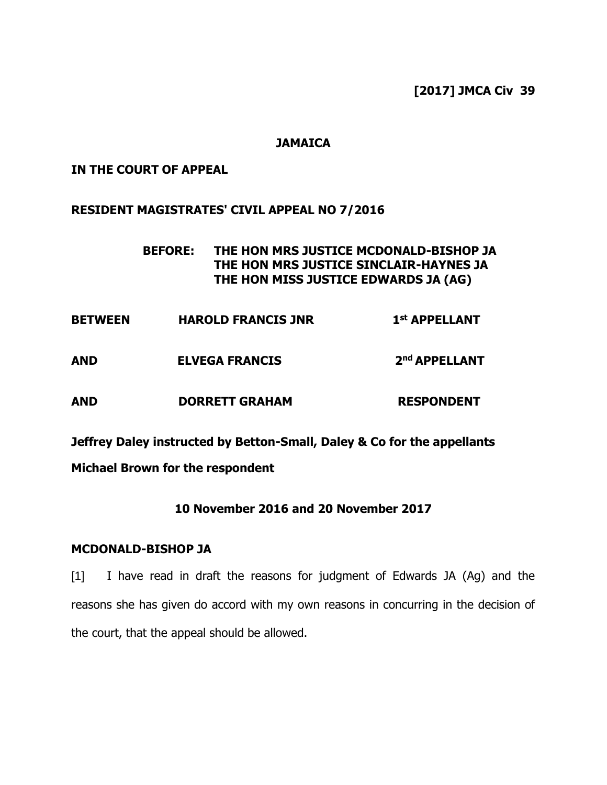### **JAMAICA**

### **IN THE COURT OF APPEAL**

### **RESIDENT MAGISTRATES' CIVIL APPEAL NO 7/2016**

## **BEFORE: THE HON MRS JUSTICE MCDONALD-BISHOP JA THE HON MRS JUSTICE SINCLAIR-HAYNES JA THE HON MISS JUSTICE EDWARDS JA (AG)**

|                       | 1 <sup>st</sup> APPELLANT |
|-----------------------|---------------------------|
| <b>ELVEGA FRANCIS</b> | 2 <sup>nd</sup> APPELLANT |
|                       | <b>HAROLD FRANCIS JNR</b> |

# **AND DORRETT GRAHAM RESPONDENT**

**Jeffrey Daley instructed by Betton-Small, Daley & Co for the appellants**

## **Michael Brown for the respondent**

## **10 November 2016 and 20 November 2017**

### **MCDONALD-BISHOP JA**

[1] I have read in draft the reasons for judgment of Edwards JA (Ag) and the reasons she has given do accord with my own reasons in concurring in the decision of the court, that the appeal should be allowed.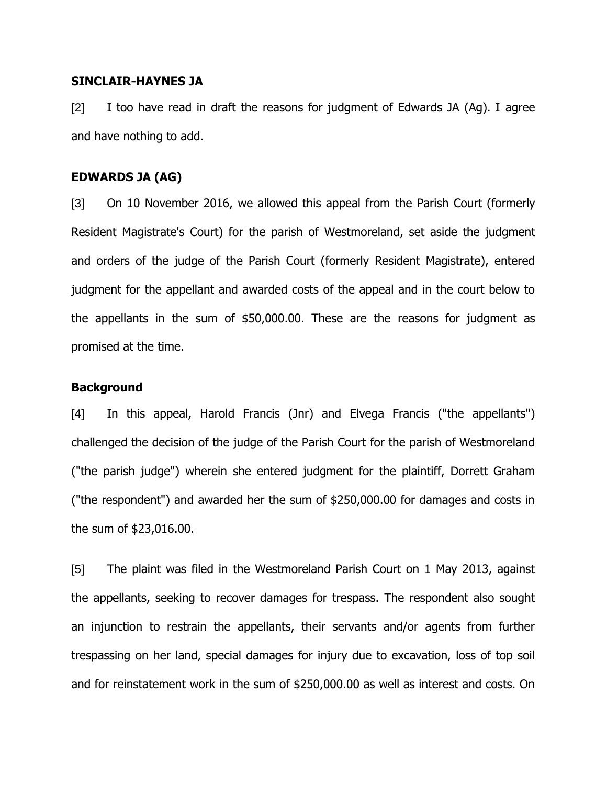#### **SINCLAIR-HAYNES JA**

[2] I too have read in draft the reasons for judgment of Edwards JA (Ag). I agree and have nothing to add.

#### **EDWARDS JA (AG)**

[3] On 10 November 2016, we allowed this appeal from the Parish Court (formerly Resident Magistrate's Court) for the parish of Westmoreland, set aside the judgment and orders of the judge of the Parish Court (formerly Resident Magistrate), entered judgment for the appellant and awarded costs of the appeal and in the court below to the appellants in the sum of \$50,000.00. These are the reasons for judgment as promised at the time.

### **Background**

[4] In this appeal, Harold Francis (Jnr) and Elvega Francis ("the appellants") challenged the decision of the judge of the Parish Court for the parish of Westmoreland ("the parish judge") wherein she entered judgment for the plaintiff, Dorrett Graham ("the respondent") and awarded her the sum of \$250,000.00 for damages and costs in the sum of \$23,016.00.

[5] The plaint was filed in the Westmoreland Parish Court on 1 May 2013, against the appellants, seeking to recover damages for trespass. The respondent also sought an injunction to restrain the appellants, their servants and/or agents from further trespassing on her land, special damages for injury due to excavation, loss of top soil and for reinstatement work in the sum of \$250,000.00 as well as interest and costs. On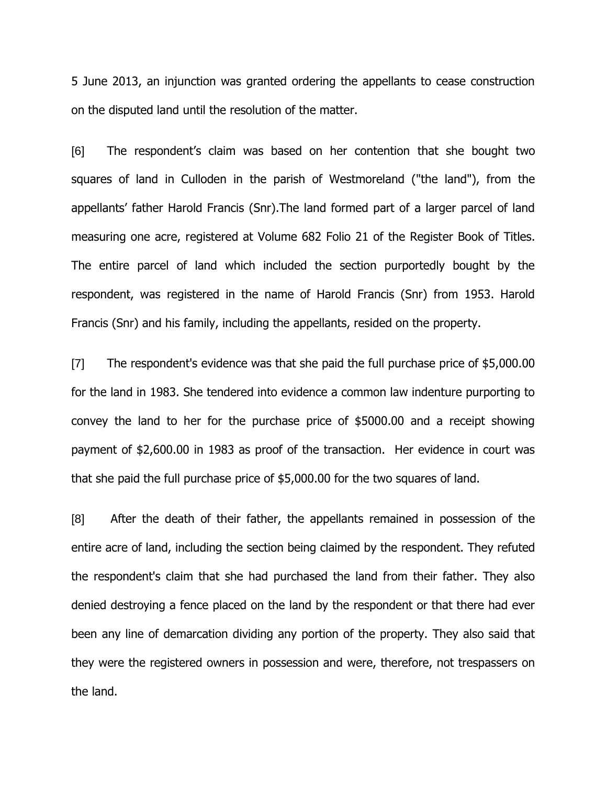5 June 2013, an injunction was granted ordering the appellants to cease construction on the disputed land until the resolution of the matter.

[6] The respondent's claim was based on her contention that she bought two squares of land in Culloden in the parish of Westmoreland ("the land"), from the appellants' father Harold Francis (Snr).The land formed part of a larger parcel of land measuring one acre, registered at Volume 682 Folio 21 of the Register Book of Titles. The entire parcel of land which included the section purportedly bought by the respondent, was registered in the name of Harold Francis (Snr) from 1953. Harold Francis (Snr) and his family, including the appellants, resided on the property.

[7] The respondent's evidence was that she paid the full purchase price of \$5,000.00 for the land in 1983. She tendered into evidence a common law indenture purporting to convey the land to her for the purchase price of \$5000.00 and a receipt showing payment of \$2,600.00 in 1983 as proof of the transaction. Her evidence in court was that she paid the full purchase price of \$5,000.00 for the two squares of land.

[8] After the death of their father, the appellants remained in possession of the entire acre of land, including the section being claimed by the respondent. They refuted the respondent's claim that she had purchased the land from their father. They also denied destroying a fence placed on the land by the respondent or that there had ever been any line of demarcation dividing any portion of the property. They also said that they were the registered owners in possession and were, therefore, not trespassers on the land.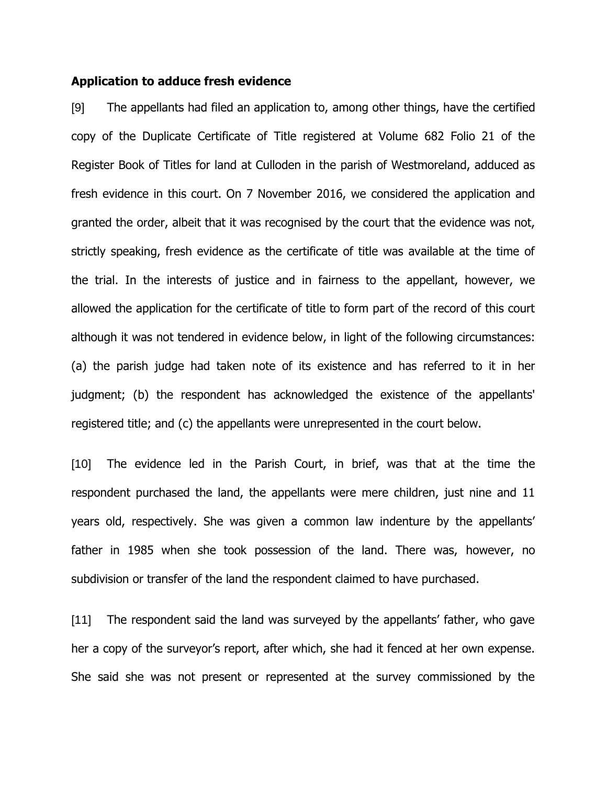#### **Application to adduce fresh evidence**

[9] The appellants had filed an application to, among other things, have the certified copy of the Duplicate Certificate of Title registered at Volume 682 Folio 21 of the Register Book of Titles for land at Culloden in the parish of Westmoreland, adduced as fresh evidence in this court. On 7 November 2016, we considered the application and granted the order, albeit that it was recognised by the court that the evidence was not, strictly speaking, fresh evidence as the certificate of title was available at the time of the trial. In the interests of justice and in fairness to the appellant, however, we allowed the application for the certificate of title to form part of the record of this court although it was not tendered in evidence below, in light of the following circumstances: (a) the parish judge had taken note of its existence and has referred to it in her judgment; (b) the respondent has acknowledged the existence of the appellants' registered title; and (c) the appellants were unrepresented in the court below.

[10] The evidence led in the Parish Court, in brief, was that at the time the respondent purchased the land, the appellants were mere children, just nine and 11 years old, respectively. She was given a common law indenture by the appellants' father in 1985 when she took possession of the land. There was, however, no subdivision or transfer of the land the respondent claimed to have purchased.

[11] The respondent said the land was surveyed by the appellants' father, who gave her a copy of the surveyor's report, after which, she had it fenced at her own expense. She said she was not present or represented at the survey commissioned by the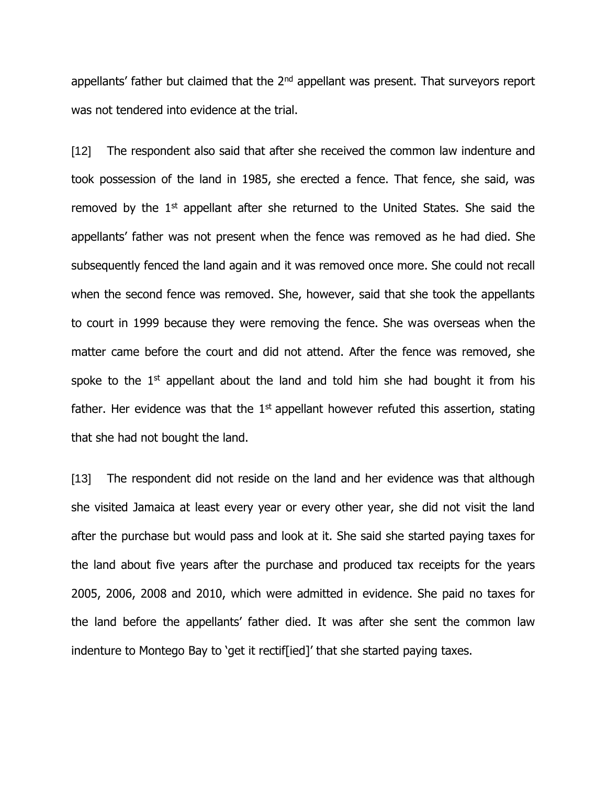appellants' father but claimed that the  $2<sup>nd</sup>$  appellant was present. That surveyors report was not tendered into evidence at the trial.

[12] The respondent also said that after she received the common law indenture and took possession of the land in 1985, she erected a fence. That fence, she said, was removed by the  $1<sup>st</sup>$  appellant after she returned to the United States. She said the appellants' father was not present when the fence was removed as he had died. She subsequently fenced the land again and it was removed once more. She could not recall when the second fence was removed. She, however, said that she took the appellants to court in 1999 because they were removing the fence. She was overseas when the matter came before the court and did not attend. After the fence was removed, she spoke to the  $1<sup>st</sup>$  appellant about the land and told him she had bought it from his father. Her evidence was that the  $1<sup>st</sup>$  appellant however refuted this assertion, stating that she had not bought the land.

[13] The respondent did not reside on the land and her evidence was that although she visited Jamaica at least every year or every other year, she did not visit the land after the purchase but would pass and look at it. She said she started paying taxes for the land about five years after the purchase and produced tax receipts for the years 2005, 2006, 2008 and 2010, which were admitted in evidence. She paid no taxes for the land before the appellants' father died. It was after she sent the common law indenture to Montego Bay to 'get it rectif[ied]' that she started paying taxes.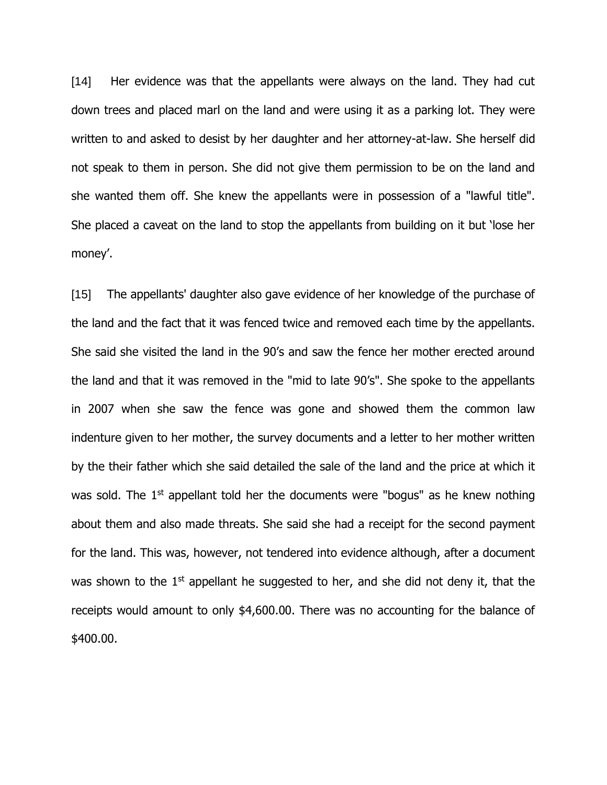[14] Her evidence was that the appellants were always on the land. They had cut down trees and placed marl on the land and were using it as a parking lot. They were written to and asked to desist by her daughter and her attorney-at-law. She herself did not speak to them in person. She did not give them permission to be on the land and she wanted them off. She knew the appellants were in possession of a "lawful title". She placed a caveat on the land to stop the appellants from building on it but 'lose her money'.

[15] The appellants' daughter also gave evidence of her knowledge of the purchase of the land and the fact that it was fenced twice and removed each time by the appellants. She said she visited the land in the 90's and saw the fence her mother erected around the land and that it was removed in the "mid to late 90's". She spoke to the appellants in 2007 when she saw the fence was gone and showed them the common law indenture given to her mother, the survey documents and a letter to her mother written by the their father which she said detailed the sale of the land and the price at which it was sold. The  $1<sup>st</sup>$  appellant told her the documents were "bogus" as he knew nothing about them and also made threats. She said she had a receipt for the second payment for the land. This was, however, not tendered into evidence although, after a document was shown to the  $1<sup>st</sup>$  appellant he suggested to her, and she did not deny it, that the receipts would amount to only \$4,600.00. There was no accounting for the balance of \$400.00.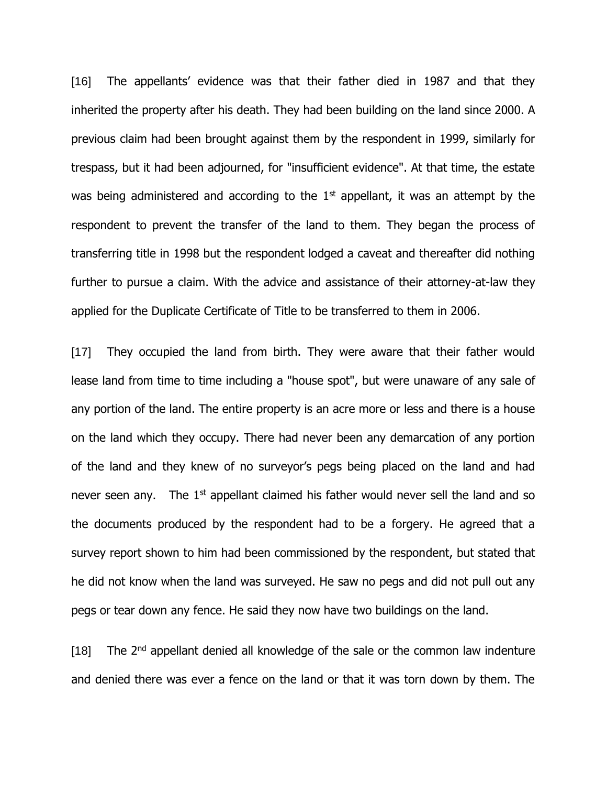[16] The appellants' evidence was that their father died in 1987 and that they inherited the property after his death. They had been building on the land since 2000. A previous claim had been brought against them by the respondent in 1999, similarly for trespass, but it had been adjourned, for "insufficient evidence". At that time, the estate was being administered and according to the  $1<sup>st</sup>$  appellant, it was an attempt by the respondent to prevent the transfer of the land to them. They began the process of transferring title in 1998 but the respondent lodged a caveat and thereafter did nothing further to pursue a claim. With the advice and assistance of their attorney-at-law they applied for the Duplicate Certificate of Title to be transferred to them in 2006.

[17] They occupied the land from birth. They were aware that their father would lease land from time to time including a "house spot", but were unaware of any sale of any portion of the land. The entire property is an acre more or less and there is a house on the land which they occupy. There had never been any demarcation of any portion of the land and they knew of no surveyor's pegs being placed on the land and had never seen any. The  $1<sup>st</sup>$  appellant claimed his father would never sell the land and so the documents produced by the respondent had to be a forgery. He agreed that a survey report shown to him had been commissioned by the respondent, but stated that he did not know when the land was surveyed. He saw no pegs and did not pull out any pegs or tear down any fence. He said they now have two buildings on the land.

 $[18]$  The  $2<sup>nd</sup>$  appellant denied all knowledge of the sale or the common law indenture and denied there was ever a fence on the land or that it was torn down by them. The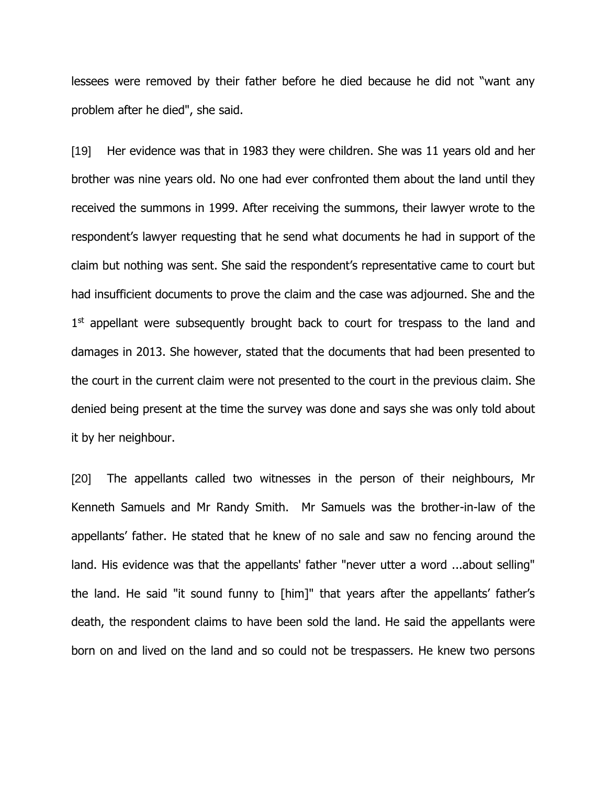lessees were removed by their father before he died because he did not "want any problem after he died", she said.

[19] Her evidence was that in 1983 they were children. She was 11 years old and her brother was nine years old. No one had ever confronted them about the land until they received the summons in 1999. After receiving the summons, their lawyer wrote to the respondent's lawyer requesting that he send what documents he had in support of the claim but nothing was sent. She said the respondent's representative came to court but had insufficient documents to prove the claim and the case was adjourned. She and the 1<sup>st</sup> appellant were subsequently brought back to court for trespass to the land and damages in 2013. She however, stated that the documents that had been presented to the court in the current claim were not presented to the court in the previous claim. She denied being present at the time the survey was done and says she was only told about it by her neighbour.

[20] The appellants called two witnesses in the person of their neighbours, Mr Kenneth Samuels and Mr Randy Smith. Mr Samuels was the brother-in-law of the appellants' father. He stated that he knew of no sale and saw no fencing around the land. His evidence was that the appellants' father "never utter a word ...about selling" the land. He said "it sound funny to [him]" that years after the appellants' father's death, the respondent claims to have been sold the land. He said the appellants were born on and lived on the land and so could not be trespassers. He knew two persons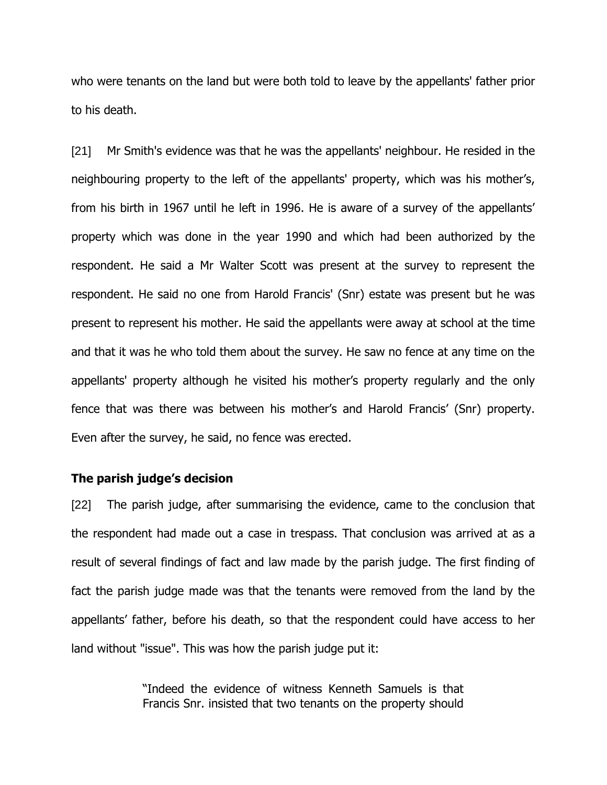who were tenants on the land but were both told to leave by the appellants' father prior to his death.

[21] Mr Smith's evidence was that he was the appellants' neighbour. He resided in the neighbouring property to the left of the appellants' property, which was his mother's, from his birth in 1967 until he left in 1996. He is aware of a survey of the appellants' property which was done in the year 1990 and which had been authorized by the respondent. He said a Mr Walter Scott was present at the survey to represent the respondent. He said no one from Harold Francis' (Snr) estate was present but he was present to represent his mother. He said the appellants were away at school at the time and that it was he who told them about the survey. He saw no fence at any time on the appellants' property although he visited his mother's property regularly and the only fence that was there was between his mother's and Harold Francis' (Snr) property. Even after the survey, he said, no fence was erected.

#### **The parish judge's decision**

[22] The parish judge, after summarising the evidence, came to the conclusion that the respondent had made out a case in trespass. That conclusion was arrived at as a result of several findings of fact and law made by the parish judge. The first finding of fact the parish judge made was that the tenants were removed from the land by the appellants' father, before his death, so that the respondent could have access to her land without "issue". This was how the parish judge put it:

> "Indeed the evidence of witness Kenneth Samuels is that Francis Snr. insisted that two tenants on the property should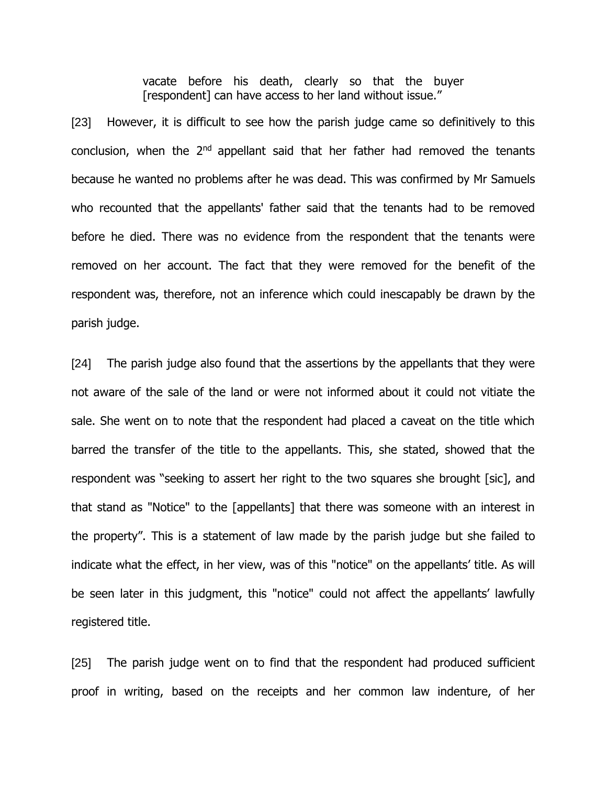vacate before his death, clearly so that the buyer [respondent] can have access to her land without issue."

[23] However, it is difficult to see how the parish judge came so definitively to this conclusion, when the  $2<sup>nd</sup>$  appellant said that her father had removed the tenants because he wanted no problems after he was dead. This was confirmed by Mr Samuels who recounted that the appellants' father said that the tenants had to be removed before he died. There was no evidence from the respondent that the tenants were removed on her account. The fact that they were removed for the benefit of the respondent was, therefore, not an inference which could inescapably be drawn by the parish judge.

[24] The parish judge also found that the assertions by the appellants that they were not aware of the sale of the land or were not informed about it could not vitiate the sale. She went on to note that the respondent had placed a caveat on the title which barred the transfer of the title to the appellants. This, she stated, showed that the respondent was "seeking to assert her right to the two squares she brought [sic], and that stand as "Notice" to the [appellants] that there was someone with an interest in the property". This is a statement of law made by the parish judge but she failed to indicate what the effect, in her view, was of this "notice" on the appellants' title. As will be seen later in this judgment, this "notice" could not affect the appellants' lawfully registered title.

[25] The parish judge went on to find that the respondent had produced sufficient proof in writing, based on the receipts and her common law indenture, of her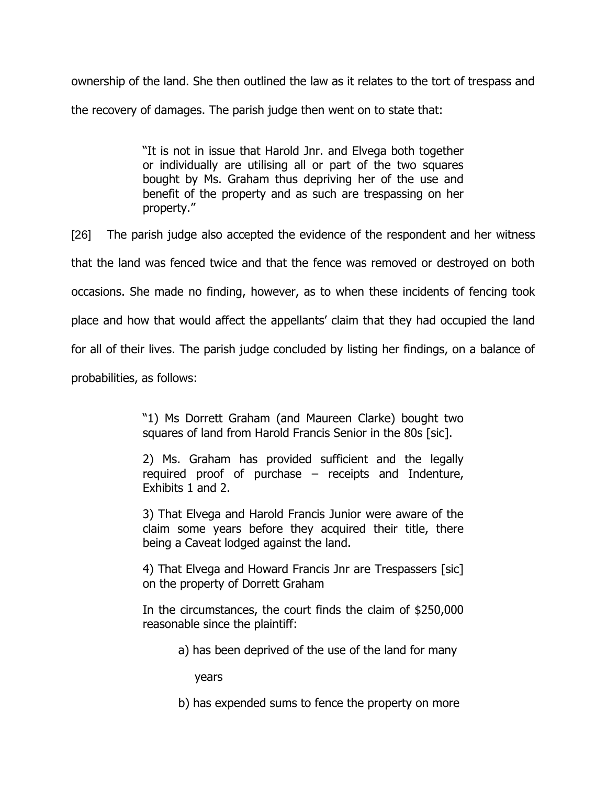ownership of the land. She then outlined the law as it relates to the tort of trespass and the recovery of damages. The parish judge then went on to state that:

> "It is not in issue that Harold Jnr. and Elvega both together or individually are utilising all or part of the two squares bought by Ms. Graham thus depriving her of the use and benefit of the property and as such are trespassing on her property."

[26] The parish judge also accepted the evidence of the respondent and her witness that the land was fenced twice and that the fence was removed or destroyed on both occasions. She made no finding, however, as to when these incidents of fencing took place and how that would affect the appellants' claim that they had occupied the land for all of their lives. The parish judge concluded by listing her findings, on a balance of probabilities, as follows:

> "1) Ms Dorrett Graham (and Maureen Clarke) bought two squares of land from Harold Francis Senior in the 80s [sic].

> 2) Ms. Graham has provided sufficient and the legally required proof of purchase – receipts and Indenture, Exhibits 1 and 2.

> 3) That Elvega and Harold Francis Junior were aware of the claim some years before they acquired their title, there being a Caveat lodged against the land.

> 4) That Elvega and Howard Francis Jnr are Trespassers [sic] on the property of Dorrett Graham

> In the circumstances, the court finds the claim of \$250,000 reasonable since the plaintiff:

> > a) has been deprived of the use of the land for many

years

b) has expended sums to fence the property on more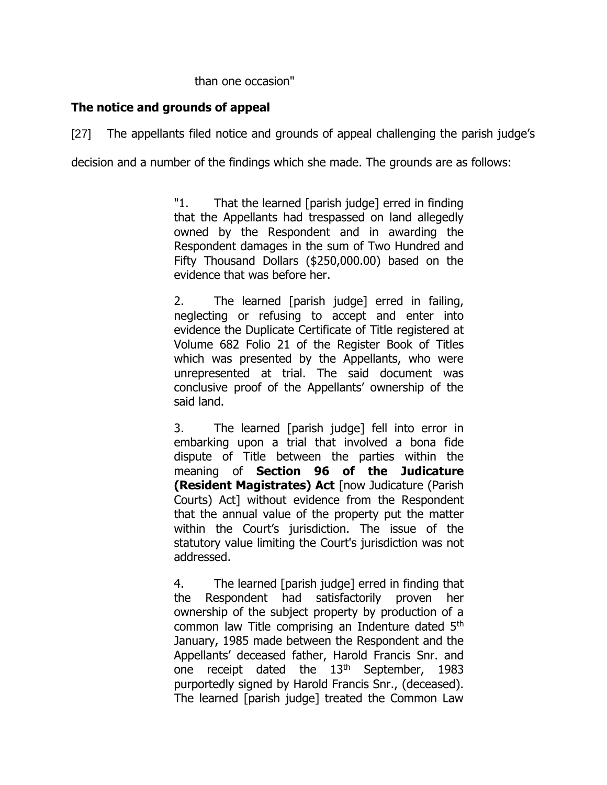### than one occasion"

### **The notice and grounds of appeal**

[27] The appellants filed notice and grounds of appeal challenging the parish judge's

decision and a number of the findings which she made. The grounds are as follows:

"1. That the learned [parish judge] erred in finding that the Appellants had trespassed on land allegedly owned by the Respondent and in awarding the Respondent damages in the sum of Two Hundred and Fifty Thousand Dollars (\$250,000.00) based on the evidence that was before her.

2. The learned [parish judge] erred in failing, neglecting or refusing to accept and enter into evidence the Duplicate Certificate of Title registered at Volume 682 Folio 21 of the Register Book of Titles which was presented by the Appellants, who were unrepresented at trial. The said document was conclusive proof of the Appellants' ownership of the said land.

3. The learned [parish judge] fell into error in embarking upon a trial that involved a bona fide dispute of Title between the parties within the meaning of **Section 96 of the Judicature (Resident Magistrates) Act** [now Judicature (Parish Courts) Act] without evidence from the Respondent that the annual value of the property put the matter within the Court's jurisdiction. The issue of the statutory value limiting the Court's jurisdiction was not addressed.

4. The learned [parish judge] erred in finding that the Respondent had satisfactorily proven her ownership of the subject property by production of a common law Title comprising an Indenture dated 5<sup>th</sup> January, 1985 made between the Respondent and the Appellants' deceased father, Harold Francis Snr. and one receipt dated the  $13<sup>th</sup>$  September, 1983 purportedly signed by Harold Francis Snr., (deceased). The learned [parish judge] treated the Common Law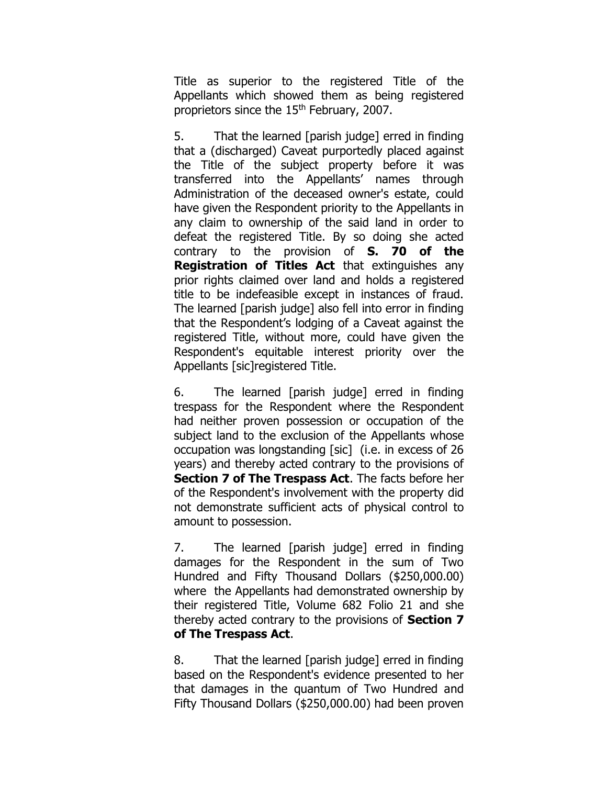Title as superior to the registered Title of the Appellants which showed them as being registered proprietors since the 15<sup>th</sup> February, 2007.

5. That the learned [parish judge] erred in finding that a (discharged) Caveat purportedly placed against the Title of the subject property before it was transferred into the Appellants' names through Administration of the deceased owner's estate, could have given the Respondent priority to the Appellants in any claim to ownership of the said land in order to defeat the registered Title. By so doing she acted contrary to the provision of **S. 70 of the Registration of Titles Act** that extinguishes any prior rights claimed over land and holds a registered title to be indefeasible except in instances of fraud. The learned [parish judge] also fell into error in finding that the Respondent's lodging of a Caveat against the registered Title, without more, could have given the Respondent's equitable interest priority over the Appellants [sic]registered Title.

6. The learned [parish judge] erred in finding trespass for the Respondent where the Respondent had neither proven possession or occupation of the subject land to the exclusion of the Appellants whose occupation was longstanding [sic] (i.e. in excess of 26 years) and thereby acted contrary to the provisions of **Section 7 of The Trespass Act**. The facts before her of the Respondent's involvement with the property did not demonstrate sufficient acts of physical control to amount to possession.

7. The learned [parish judge] erred in finding damages for the Respondent in the sum of Two Hundred and Fifty Thousand Dollars (\$250,000.00) where the Appellants had demonstrated ownership by their registered Title, Volume 682 Folio 21 and she thereby acted contrary to the provisions of **Section 7 of The Trespass Act**.

8. That the learned [parish judge] erred in finding based on the Respondent's evidence presented to her that damages in the quantum of Two Hundred and Fifty Thousand Dollars (\$250,000.00) had been proven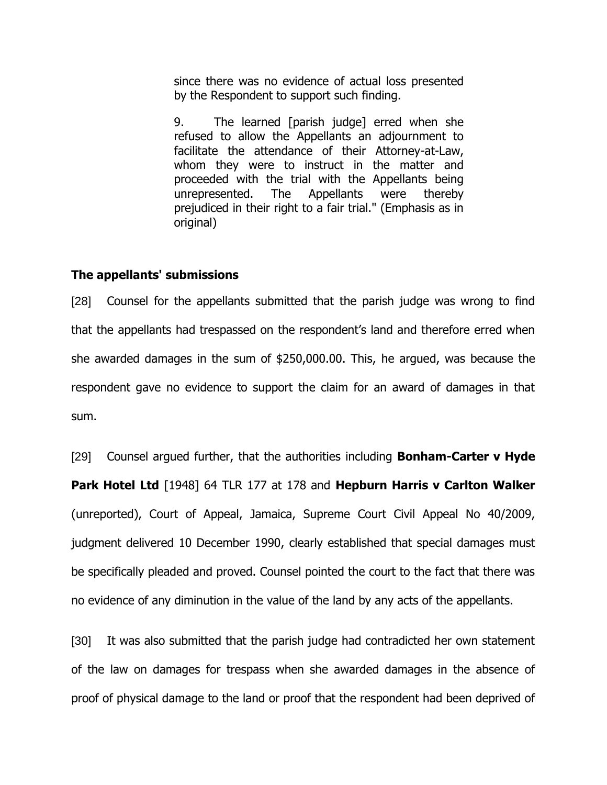since there was no evidence of actual loss presented by the Respondent to support such finding.

9. The learned [parish judge] erred when she refused to allow the Appellants an adjournment to facilitate the attendance of their Attorney-at-Law, whom they were to instruct in the matter and proceeded with the trial with the Appellants being unrepresented. The Appellants were thereby prejudiced in their right to a fair trial." (Emphasis as in original)

#### **The appellants' submissions**

[28] Counsel for the appellants submitted that the parish judge was wrong to find that the appellants had trespassed on the respondent's land and therefore erred when she awarded damages in the sum of \$250,000.00. This, he argued, was because the respondent gave no evidence to support the claim for an award of damages in that sum.

[29] Counsel argued further, that the authorities including **Bonham-Carter v Hyde Park Hotel Ltd** [1948] 64 TLR 177 at 178 and **Hepburn Harris v Carlton Walker** (unreported), Court of Appeal, Jamaica, Supreme Court Civil Appeal No 40/2009, judgment delivered 10 December 1990, clearly established that special damages must be specifically pleaded and proved. Counsel pointed the court to the fact that there was no evidence of any diminution in the value of the land by any acts of the appellants.

[30] It was also submitted that the parish judge had contradicted her own statement of the law on damages for trespass when she awarded damages in the absence of proof of physical damage to the land or proof that the respondent had been deprived of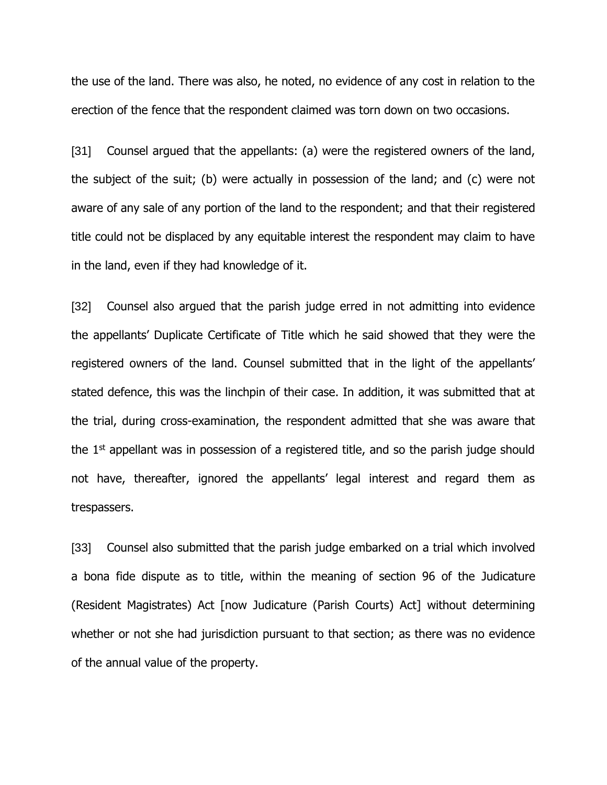the use of the land. There was also, he noted, no evidence of any cost in relation to the erection of the fence that the respondent claimed was torn down on two occasions.

[31] Counsel argued that the appellants: (a) were the registered owners of the land, the subject of the suit; (b) were actually in possession of the land; and (c) were not aware of any sale of any portion of the land to the respondent; and that their registered title could not be displaced by any equitable interest the respondent may claim to have in the land, even if they had knowledge of it.

[32] Counsel also argued that the parish judge erred in not admitting into evidence the appellants' Duplicate Certificate of Title which he said showed that they were the registered owners of the land. Counsel submitted that in the light of the appellants' stated defence, this was the linchpin of their case. In addition, it was submitted that at the trial, during cross-examination, the respondent admitted that she was aware that the  $1<sup>st</sup>$  appellant was in possession of a registered title, and so the parish judge should not have, thereafter, ignored the appellants' legal interest and regard them as trespassers.

[33] Counsel also submitted that the parish judge embarked on a trial which involved a bona fide dispute as to title, within the meaning of section 96 of the Judicature (Resident Magistrates) Act [now Judicature (Parish Courts) Act] without determining whether or not she had jurisdiction pursuant to that section; as there was no evidence of the annual value of the property.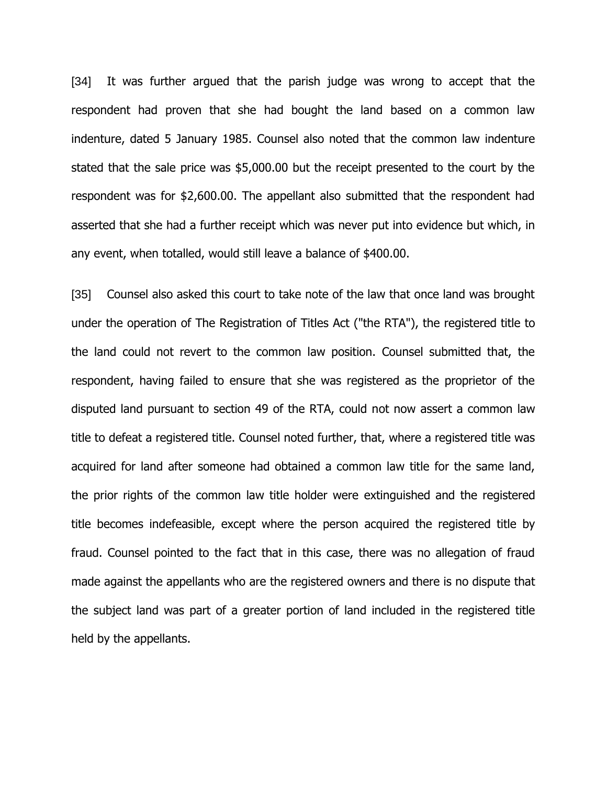[34] It was further argued that the parish judge was wrong to accept that the respondent had proven that she had bought the land based on a common law indenture, dated 5 January 1985. Counsel also noted that the common law indenture stated that the sale price was \$5,000.00 but the receipt presented to the court by the respondent was for \$2,600.00. The appellant also submitted that the respondent had asserted that she had a further receipt which was never put into evidence but which, in any event, when totalled, would still leave a balance of \$400.00.

[35] Counsel also asked this court to take note of the law that once land was brought under the operation of The Registration of Titles Act ("the RTA"), the registered title to the land could not revert to the common law position. Counsel submitted that, the respondent, having failed to ensure that she was registered as the proprietor of the disputed land pursuant to section 49 of the RTA, could not now assert a common law title to defeat a registered title. Counsel noted further, that, where a registered title was acquired for land after someone had obtained a common law title for the same land, the prior rights of the common law title holder were extinguished and the registered title becomes indefeasible, except where the person acquired the registered title by fraud. Counsel pointed to the fact that in this case, there was no allegation of fraud made against the appellants who are the registered owners and there is no dispute that the subject land was part of a greater portion of land included in the registered title held by the appellants.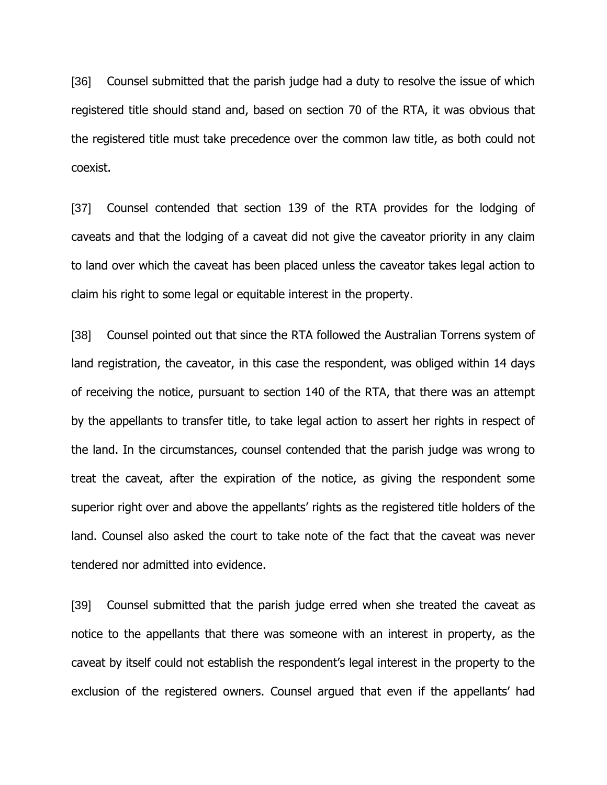[36] Counsel submitted that the parish judge had a duty to resolve the issue of which registered title should stand and, based on section 70 of the RTA, it was obvious that the registered title must take precedence over the common law title, as both could not coexist.

[37] Counsel contended that section 139 of the RTA provides for the lodging of caveats and that the lodging of a caveat did not give the caveator priority in any claim to land over which the caveat has been placed unless the caveator takes legal action to claim his right to some legal or equitable interest in the property.

[38] Counsel pointed out that since the RTA followed the Australian Torrens system of land registration, the caveator, in this case the respondent, was obliged within 14 days of receiving the notice, pursuant to section 140 of the RTA, that there was an attempt by the appellants to transfer title, to take legal action to assert her rights in respect of the land. In the circumstances, counsel contended that the parish judge was wrong to treat the caveat, after the expiration of the notice, as giving the respondent some superior right over and above the appellants' rights as the registered title holders of the land. Counsel also asked the court to take note of the fact that the caveat was never tendered nor admitted into evidence.

[39] Counsel submitted that the parish judge erred when she treated the caveat as notice to the appellants that there was someone with an interest in property, as the caveat by itself could not establish the respondent's legal interest in the property to the exclusion of the registered owners. Counsel argued that even if the appellants' had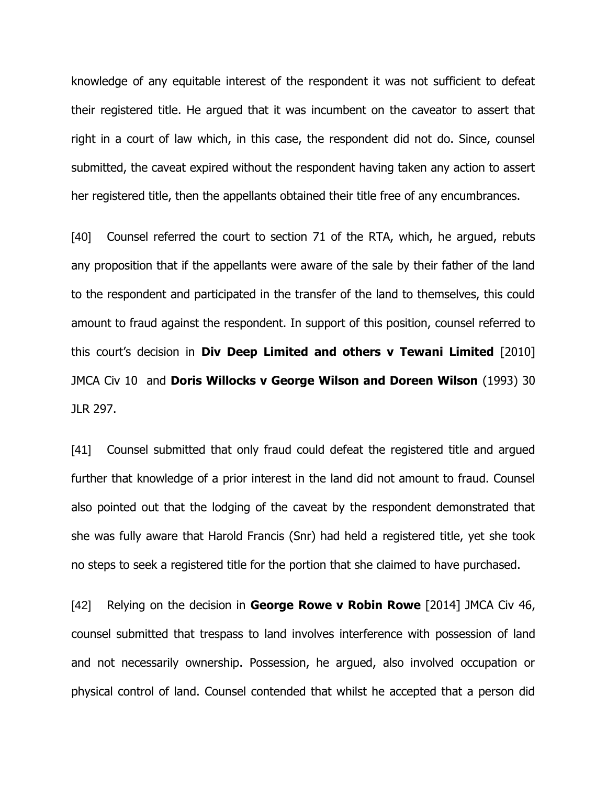knowledge of any equitable interest of the respondent it was not sufficient to defeat their registered title. He argued that it was incumbent on the caveator to assert that right in a court of law which, in this case, the respondent did not do. Since, counsel submitted, the caveat expired without the respondent having taken any action to assert her registered title, then the appellants obtained their title free of any encumbrances.

[40] Counsel referred the court to section 71 of the RTA, which, he argued, rebuts any proposition that if the appellants were aware of the sale by their father of the land to the respondent and participated in the transfer of the land to themselves, this could amount to fraud against the respondent. In support of this position, counsel referred to this court's decision in **Div Deep Limited and others v Tewani Limited** [2010] JMCA Civ 10 and **Doris Willocks v George Wilson and Doreen Wilson** (1993) 30 JLR 297.

[41] Counsel submitted that only fraud could defeat the registered title and argued further that knowledge of a prior interest in the land did not amount to fraud. Counsel also pointed out that the lodging of the caveat by the respondent demonstrated that she was fully aware that Harold Francis (Snr) had held a registered title, yet she took no steps to seek a registered title for the portion that she claimed to have purchased.

[42] Relying on the decision in **George Rowe v Robin Rowe** [2014] JMCA Civ 46, counsel submitted that trespass to land involves interference with possession of land and not necessarily ownership. Possession, he argued, also involved occupation or physical control of land. Counsel contended that whilst he accepted that a person did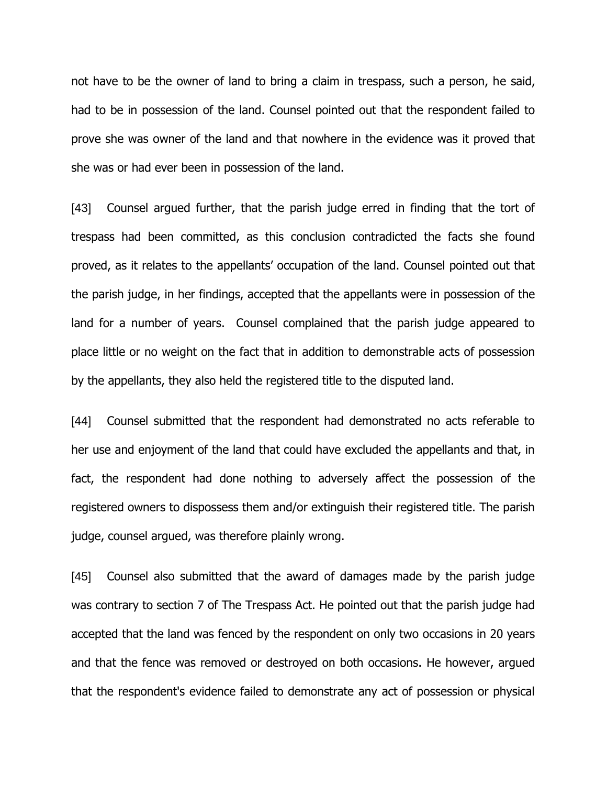not have to be the owner of land to bring a claim in trespass, such a person, he said, had to be in possession of the land. Counsel pointed out that the respondent failed to prove she was owner of the land and that nowhere in the evidence was it proved that she was or had ever been in possession of the land.

[43] Counsel argued further, that the parish judge erred in finding that the tort of trespass had been committed, as this conclusion contradicted the facts she found proved, as it relates to the appellants' occupation of the land. Counsel pointed out that the parish judge, in her findings, accepted that the appellants were in possession of the land for a number of years. Counsel complained that the parish judge appeared to place little or no weight on the fact that in addition to demonstrable acts of possession by the appellants, they also held the registered title to the disputed land.

[44] Counsel submitted that the respondent had demonstrated no acts referable to her use and enjoyment of the land that could have excluded the appellants and that, in fact, the respondent had done nothing to adversely affect the possession of the registered owners to dispossess them and/or extinguish their registered title. The parish judge, counsel argued, was therefore plainly wrong.

[45] Counsel also submitted that the award of damages made by the parish judge was contrary to section 7 of The Trespass Act. He pointed out that the parish judge had accepted that the land was fenced by the respondent on only two occasions in 20 years and that the fence was removed or destroyed on both occasions. He however, argued that the respondent's evidence failed to demonstrate any act of possession or physical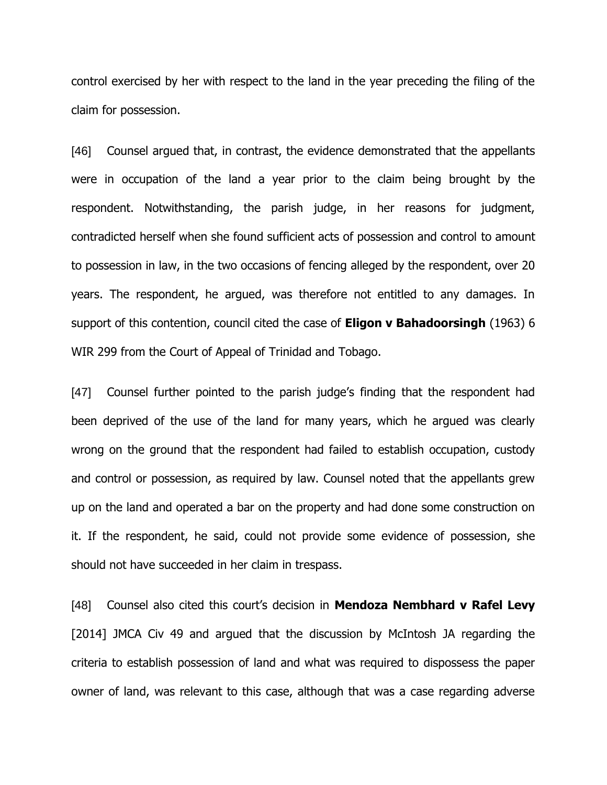control exercised by her with respect to the land in the year preceding the filing of the claim for possession.

[46] Counsel argued that, in contrast, the evidence demonstrated that the appellants were in occupation of the land a year prior to the claim being brought by the respondent. Notwithstanding, the parish judge, in her reasons for judgment, contradicted herself when she found sufficient acts of possession and control to amount to possession in law, in the two occasions of fencing alleged by the respondent, over 20 years. The respondent, he argued, was therefore not entitled to any damages. In support of this contention, council cited the case of **Eligon v Bahadoorsingh** (1963) 6 WIR 299 from the Court of Appeal of Trinidad and Tobago.

[47] Counsel further pointed to the parish judge's finding that the respondent had been deprived of the use of the land for many years, which he argued was clearly wrong on the ground that the respondent had failed to establish occupation, custody and control or possession, as required by law. Counsel noted that the appellants grew up on the land and operated a bar on the property and had done some construction on it. If the respondent, he said, could not provide some evidence of possession, she should not have succeeded in her claim in trespass.

[48] Counsel also cited this court's decision in **Mendoza Nembhard v Rafel Levy** [2014] JMCA Civ 49 and argued that the discussion by McIntosh JA regarding the criteria to establish possession of land and what was required to dispossess the paper owner of land, was relevant to this case, although that was a case regarding adverse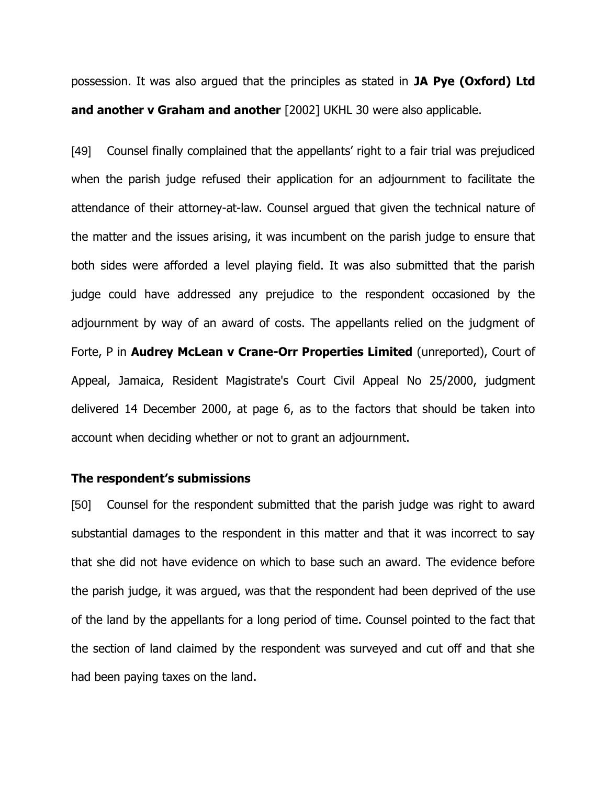possession. It was also argued that the principles as stated in **JA Pye (Oxford) Ltd and another v Graham and another** [2002] UKHL 30 were also applicable.

[49] Counsel finally complained that the appellants' right to a fair trial was prejudiced when the parish judge refused their application for an adjournment to facilitate the attendance of their attorney-at-law. Counsel argued that given the technical nature of the matter and the issues arising, it was incumbent on the parish judge to ensure that both sides were afforded a level playing field. It was also submitted that the parish judge could have addressed any prejudice to the respondent occasioned by the adjournment by way of an award of costs. The appellants relied on the judgment of Forte, P in **Audrey McLean v Crane-Orr Properties Limited** (unreported), Court of Appeal, Jamaica, Resident Magistrate's Court Civil Appeal No 25/2000, judgment delivered 14 December 2000, at page 6, as to the factors that should be taken into account when deciding whether or not to grant an adjournment.

#### **The respondent's submissions**

[50] Counsel for the respondent submitted that the parish judge was right to award substantial damages to the respondent in this matter and that it was incorrect to say that she did not have evidence on which to base such an award. The evidence before the parish judge, it was argued, was that the respondent had been deprived of the use of the land by the appellants for a long period of time. Counsel pointed to the fact that the section of land claimed by the respondent was surveyed and cut off and that she had been paying taxes on the land.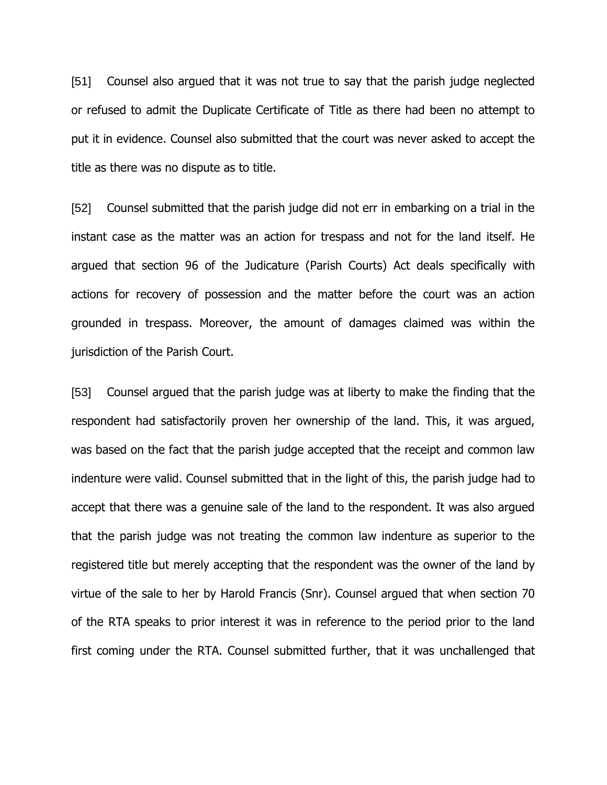[51] Counsel also argued that it was not true to say that the parish judge neglected or refused to admit the Duplicate Certificate of Title as there had been no attempt to put it in evidence. Counsel also submitted that the court was never asked to accept the title as there was no dispute as to title.

[52] Counsel submitted that the parish judge did not err in embarking on a trial in the instant case as the matter was an action for trespass and not for the land itself. He argued that section 96 of the Judicature (Parish Courts) Act deals specifically with actions for recovery of possession and the matter before the court was an action grounded in trespass. Moreover, the amount of damages claimed was within the jurisdiction of the Parish Court.

[53] Counsel argued that the parish judge was at liberty to make the finding that the respondent had satisfactorily proven her ownership of the land. This, it was argued, was based on the fact that the parish judge accepted that the receipt and common law indenture were valid. Counsel submitted that in the light of this, the parish judge had to accept that there was a genuine sale of the land to the respondent. It was also argued that the parish judge was not treating the common law indenture as superior to the registered title but merely accepting that the respondent was the owner of the land by virtue of the sale to her by Harold Francis (Snr). Counsel argued that when section 70 of the RTA speaks to prior interest it was in reference to the period prior to the land first coming under the RTA. Counsel submitted further, that it was unchallenged that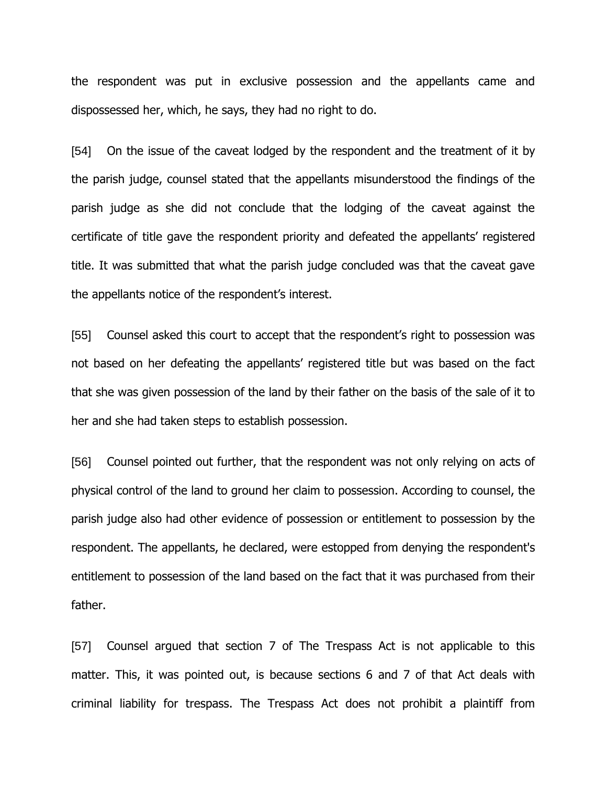the respondent was put in exclusive possession and the appellants came and dispossessed her, which, he says, they had no right to do.

[54] On the issue of the caveat lodged by the respondent and the treatment of it by the parish judge, counsel stated that the appellants misunderstood the findings of the parish judge as she did not conclude that the lodging of the caveat against the certificate of title gave the respondent priority and defeated the appellants' registered title. It was submitted that what the parish judge concluded was that the caveat gave the appellants notice of the respondent's interest.

[55] Counsel asked this court to accept that the respondent's right to possession was not based on her defeating the appellants' registered title but was based on the fact that she was given possession of the land by their father on the basis of the sale of it to her and she had taken steps to establish possession.

[56] Counsel pointed out further, that the respondent was not only relying on acts of physical control of the land to ground her claim to possession. According to counsel, the parish judge also had other evidence of possession or entitlement to possession by the respondent. The appellants, he declared, were estopped from denying the respondent's entitlement to possession of the land based on the fact that it was purchased from their father.

[57] Counsel argued that section 7 of The Trespass Act is not applicable to this matter. This, it was pointed out, is because sections 6 and 7 of that Act deals with criminal liability for trespass. The Trespass Act does not prohibit a plaintiff from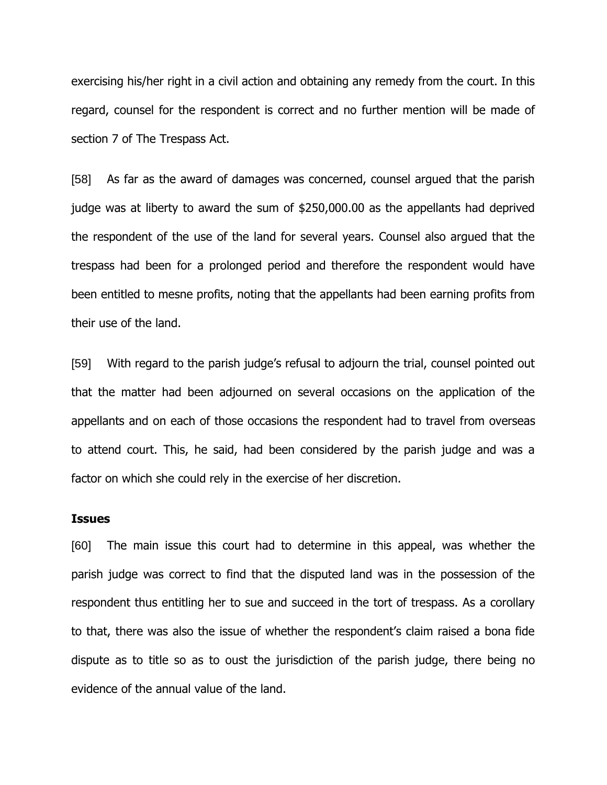exercising his/her right in a civil action and obtaining any remedy from the court. In this regard, counsel for the respondent is correct and no further mention will be made of section 7 of The Trespass Act.

[58] As far as the award of damages was concerned, counsel argued that the parish judge was at liberty to award the sum of \$250,000.00 as the appellants had deprived the respondent of the use of the land for several years. Counsel also argued that the trespass had been for a prolonged period and therefore the respondent would have been entitled to mesne profits, noting that the appellants had been earning profits from their use of the land.

[59] With regard to the parish judge's refusal to adjourn the trial, counsel pointed out that the matter had been adjourned on several occasions on the application of the appellants and on each of those occasions the respondent had to travel from overseas to attend court. This, he said, had been considered by the parish judge and was a factor on which she could rely in the exercise of her discretion.

#### **Issues**

[60] The main issue this court had to determine in this appeal, was whether the parish judge was correct to find that the disputed land was in the possession of the respondent thus entitling her to sue and succeed in the tort of trespass. As a corollary to that, there was also the issue of whether the respondent's claim raised a bona fide dispute as to title so as to oust the jurisdiction of the parish judge, there being no evidence of the annual value of the land.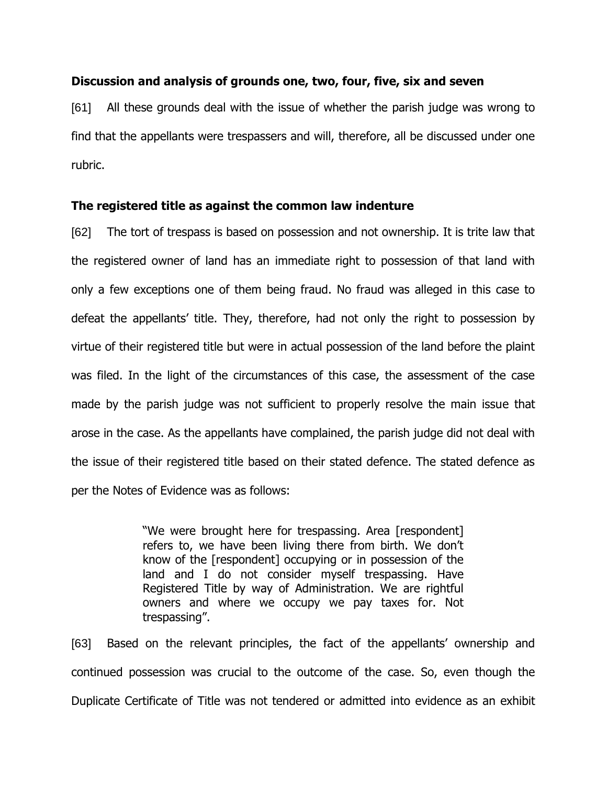#### **Discussion and analysis of grounds one, two, four, five, six and seven**

[61] All these grounds deal with the issue of whether the parish judge was wrong to find that the appellants were trespassers and will, therefore, all be discussed under one rubric.

#### **The registered title as against the common law indenture**

[62] The tort of trespass is based on possession and not ownership. It is trite law that the registered owner of land has an immediate right to possession of that land with only a few exceptions one of them being fraud. No fraud was alleged in this case to defeat the appellants' title. They, therefore, had not only the right to possession by virtue of their registered title but were in actual possession of the land before the plaint was filed. In the light of the circumstances of this case, the assessment of the case made by the parish judge was not sufficient to properly resolve the main issue that arose in the case. As the appellants have complained, the parish judge did not deal with the issue of their registered title based on their stated defence. The stated defence as per the Notes of Evidence was as follows:

> "We were brought here for trespassing. Area [respondent] refers to, we have been living there from birth. We don't know of the [respondent] occupying or in possession of the land and I do not consider myself trespassing. Have Registered Title by way of Administration. We are rightful owners and where we occupy we pay taxes for. Not trespassing".

[63] Based on the relevant principles, the fact of the appellants' ownership and continued possession was crucial to the outcome of the case. So, even though the Duplicate Certificate of Title was not tendered or admitted into evidence as an exhibit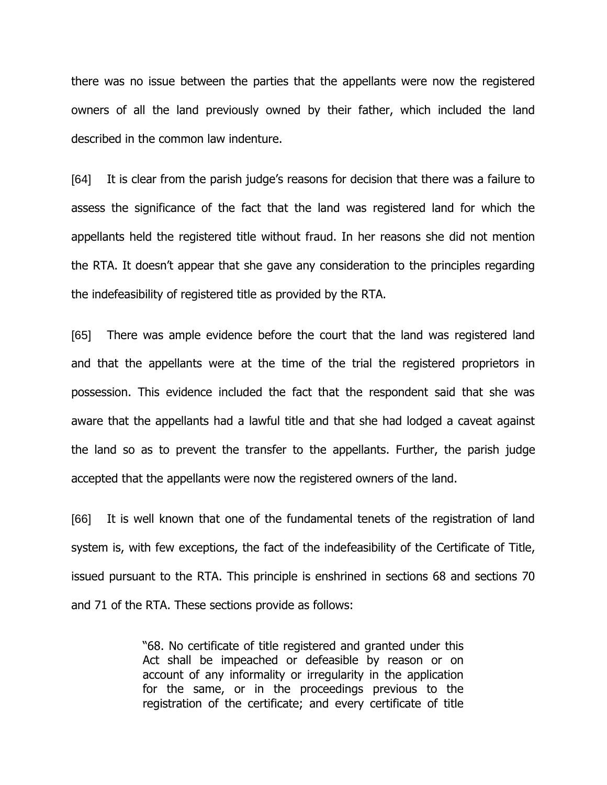there was no issue between the parties that the appellants were now the registered owners of all the land previously owned by their father, which included the land described in the common law indenture.

[64] It is clear from the parish judge's reasons for decision that there was a failure to assess the significance of the fact that the land was registered land for which the appellants held the registered title without fraud. In her reasons she did not mention the RTA. It doesn't appear that she gave any consideration to the principles regarding the indefeasibility of registered title as provided by the RTA.

[65] There was ample evidence before the court that the land was registered land and that the appellants were at the time of the trial the registered proprietors in possession. This evidence included the fact that the respondent said that she was aware that the appellants had a lawful title and that she had lodged a caveat against the land so as to prevent the transfer to the appellants. Further, the parish judge accepted that the appellants were now the registered owners of the land.

[66] It is well known that one of the fundamental tenets of the registration of land system is, with few exceptions, the fact of the indefeasibility of the Certificate of Title, issued pursuant to the RTA. This principle is enshrined in sections 68 and sections 70 and 71 of the RTA. These sections provide as follows:

> "68. No certificate of title registered and granted under this Act shall be impeached or defeasible by reason or on account of any informality or irregularity in the application for the same, or in the proceedings previous to the registration of the certificate; and every certificate of title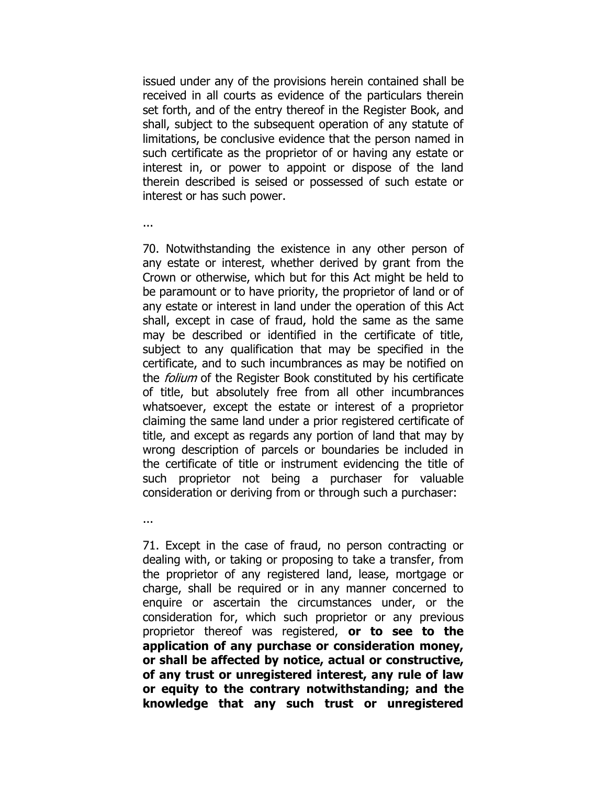issued under any of the provisions herein contained shall be received in all courts as evidence of the particulars therein set forth, and of the entry thereof in the Register Book, and shall, subject to the subsequent operation of any statute of limitations, be conclusive evidence that the person named in such certificate as the proprietor of or having any estate or interest in, or power to appoint or dispose of the land therein described is seised or possessed of such estate or interest or has such power.

...

70. Notwithstanding the existence in any other person of any estate or interest, whether derived by grant from the Crown or otherwise, which but for this Act might be held to be paramount or to have priority, the proprietor of land or of any estate or interest in land under the operation of this Act shall, except in case of fraud, hold the same as the same may be described or identified in the certificate of title, subject to any qualification that may be specified in the certificate, and to such incumbrances as may be notified on the *folium* of the Register Book constituted by his certificate of title, but absolutely free from all other incumbrances whatsoever, except the estate or interest of a proprietor claiming the same land under a prior registered certificate of title, and except as regards any portion of land that may by wrong description of parcels or boundaries be included in the certificate of title or instrument evidencing the title of such proprietor not being a purchaser for valuable consideration or deriving from or through such a purchaser:

...

71. Except in the case of fraud, no person contracting or dealing with, or taking or proposing to take a transfer, from the proprietor of any registered land, lease, mortgage or charge, shall be required or in any manner concerned to enquire or ascertain the circumstances under, or the consideration for, which such proprietor or any previous proprietor thereof was registered, **or to see to the application of any purchase or consideration money, or shall be affected by notice, actual or constructive, of any trust or unregistered interest, any rule of law or equity to the contrary notwithstanding; and the knowledge that any such trust or unregistered**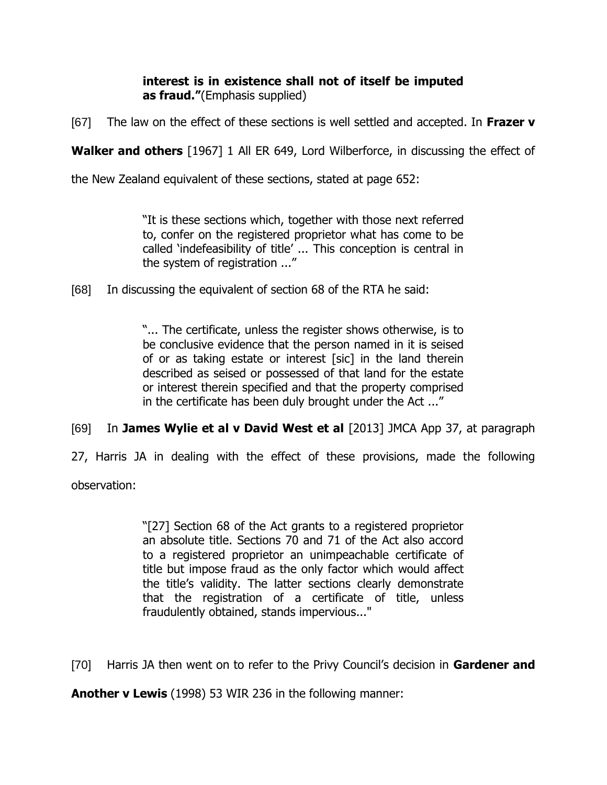## **interest is in existence shall not of itself be imputed as fraud."**(Emphasis supplied)

[67] The law on the effect of these sections is well settled and accepted. In **Frazer v** 

**Walker and others** [1967] 1 All ER 649, Lord Wilberforce, in discussing the effect of

the New Zealand equivalent of these sections, stated at page 652:

"It is these sections which, together with those next referred to, confer on the registered proprietor what has come to be called 'indefeasibility of title' ... This conception is central in the system of registration ..."

[68] In discussing the equivalent of section 68 of the RTA he said:

"... The certificate, unless the register shows otherwise, is to be conclusive evidence that the person named in it is seised of or as taking estate or interest [sic] in the land therein described as seised or possessed of that land for the estate or interest therein specified and that the property comprised in the certificate has been duly brought under the Act ..."

[69] In **James Wylie et al v David West et al** [2013] JMCA App 37, at paragraph

27, Harris JA in dealing with the effect of these provisions, made the following

observation:

"[27] Section 68 of the Act grants to a registered proprietor an absolute title. Sections 70 and 71 of the Act also accord to a registered proprietor an unimpeachable certificate of title but impose fraud as the only factor which would affect the title's validity. The latter sections clearly demonstrate that the registration of a certificate of title, unless fraudulently obtained, stands impervious..."

[70] Harris JA then went on to refer to the Privy Council's decision in **Gardener and** 

**Another v Lewis** (1998) 53 WIR 236 in the following manner: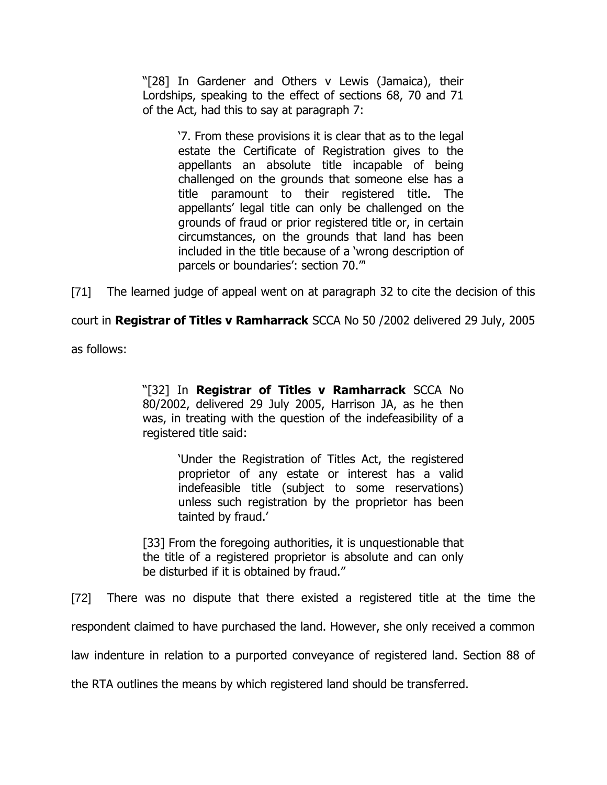"[28] In Gardener and Others v Lewis (Jamaica), their Lordships, speaking to the effect of sections 68, 70 and 71 of the Act, had this to say at paragraph 7:

> '7. From these provisions it is clear that as to the legal estate the Certificate of Registration gives to the appellants an absolute title incapable of being challenged on the grounds that someone else has a title paramount to their registered title. The appellants' legal title can only be challenged on the grounds of fraud or prior registered title or, in certain circumstances, on the grounds that land has been included in the title because of a 'wrong description of parcels or boundaries': section 70."'

[71] The learned judge of appeal went on at paragraph 32 to cite the decision of this

court in **Registrar of Titles v Ramharrack** SCCA No 50 /2002 delivered 29 July, 2005

as follows:

"[32] In **Registrar of Titles v Ramharrack** SCCA No 80/2002, delivered 29 July 2005, Harrison JA, as he then was, in treating with the question of the indefeasibility of a registered title said:

> 'Under the Registration of Titles Act, the registered proprietor of any estate or interest has a valid indefeasible title (subject to some reservations) unless such registration by the proprietor has been tainted by fraud.'

[33] From the foregoing authorities, it is unquestionable that the title of a registered proprietor is absolute and can only be disturbed if it is obtained by fraud."

[72] There was no dispute that there existed a registered title at the time the

respondent claimed to have purchased the land. However, she only received a common

law indenture in relation to a purported conveyance of registered land. Section 88 of

the RTA outlines the means by which registered land should be transferred.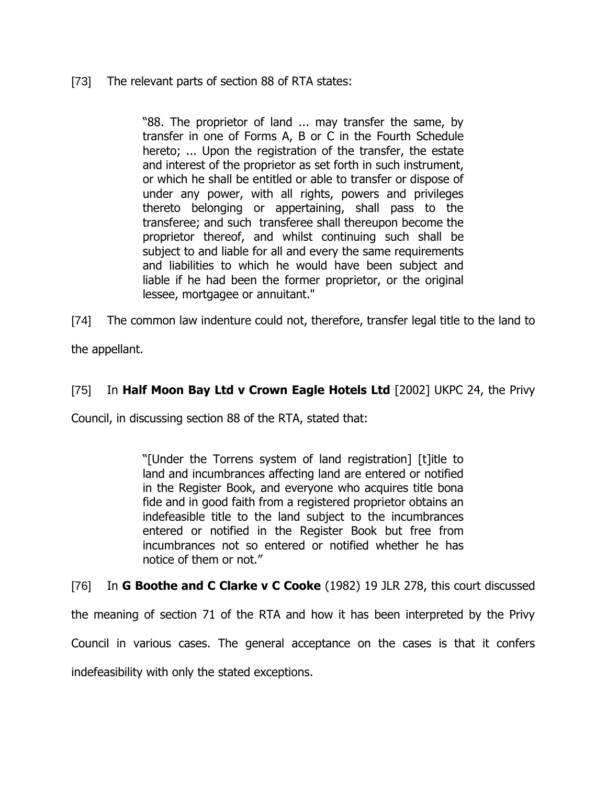### [73] The relevant parts of section 88 of RTA states:

"88. The proprietor of land ... may transfer the same, by transfer in one of Forms A, B or C in the Fourth Schedule hereto; ... Upon the registration of the transfer, the estate and interest of the proprietor as set forth in such instrument, or which he shall be entitled or able to transfer or dispose of under any power, with all rights, powers and privileges thereto belonging or appertaining, shall pass to the transferee; and such transferee shall thereupon become the proprietor thereof, and whilst continuing such shall be subject to and liable for all and every the same requirements and liabilities to which he would have been subject and liable if he had been the former proprietor, or the original lessee, mortgagee or annuitant."

[74] The common law indenture could not, therefore, transfer legal title to the land to

the appellant.

### [75] In **Half Moon Bay Ltd v Crown Eagle Hotels Ltd** [2002] UKPC 24, the Privy

Council, in discussing section 88 of the RTA, stated that:

"[Under the Torrens system of land registration] [t]itle to land and incumbrances affecting land are entered or notified in the Register Book, and everyone who acquires title bona fide and in good faith from a registered proprietor obtains an indefeasible title to the land subject to the incumbrances entered or notified in the Register Book but free from incumbrances not so entered or notified whether he has notice of them or not."

[76] In **G Boothe and C Clarke v C Cooke** (1982) 19 JLR 278, this court discussed

the meaning of section 71 of the RTA and how it has been interpreted by the Privy

Council in various cases. The general acceptance on the cases is that it confers

indefeasibility with only the stated exceptions.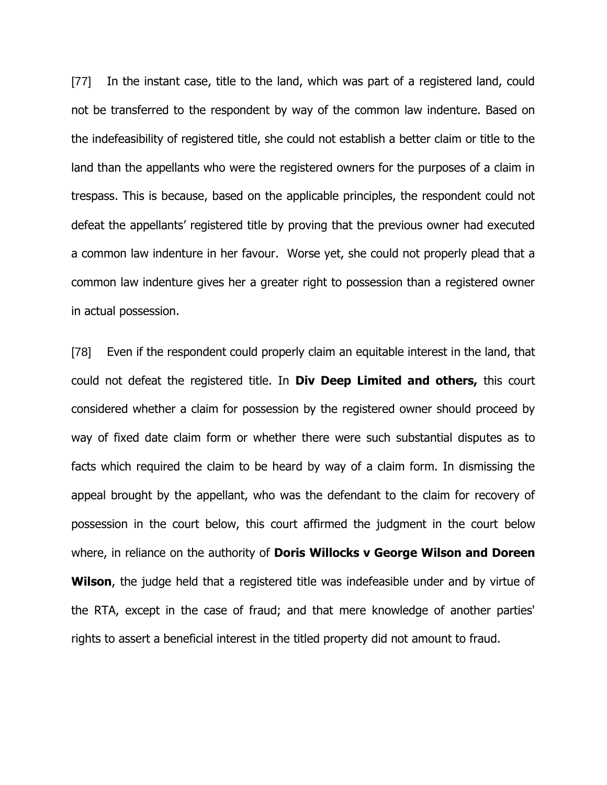[77] In the instant case, title to the land, which was part of a registered land, could not be transferred to the respondent by way of the common law indenture. Based on the indefeasibility of registered title, she could not establish a better claim or title to the land than the appellants who were the registered owners for the purposes of a claim in trespass. This is because, based on the applicable principles, the respondent could not defeat the appellants' registered title by proving that the previous owner had executed a common law indenture in her favour. Worse yet, she could not properly plead that a common law indenture gives her a greater right to possession than a registered owner in actual possession.

[78] Even if the respondent could properly claim an equitable interest in the land, that could not defeat the registered title. In **Div Deep Limited and others,** this court considered whether a claim for possession by the registered owner should proceed by way of fixed date claim form or whether there were such substantial disputes as to facts which required the claim to be heard by way of a claim form. In dismissing the appeal brought by the appellant, who was the defendant to the claim for recovery of possession in the court below, this court affirmed the judgment in the court below where, in reliance on the authority of **Doris Willocks v George Wilson and Doreen Wilson**, the judge held that a registered title was indefeasible under and by virtue of the RTA, except in the case of fraud; and that mere knowledge of another parties' rights to assert a beneficial interest in the titled property did not amount to fraud.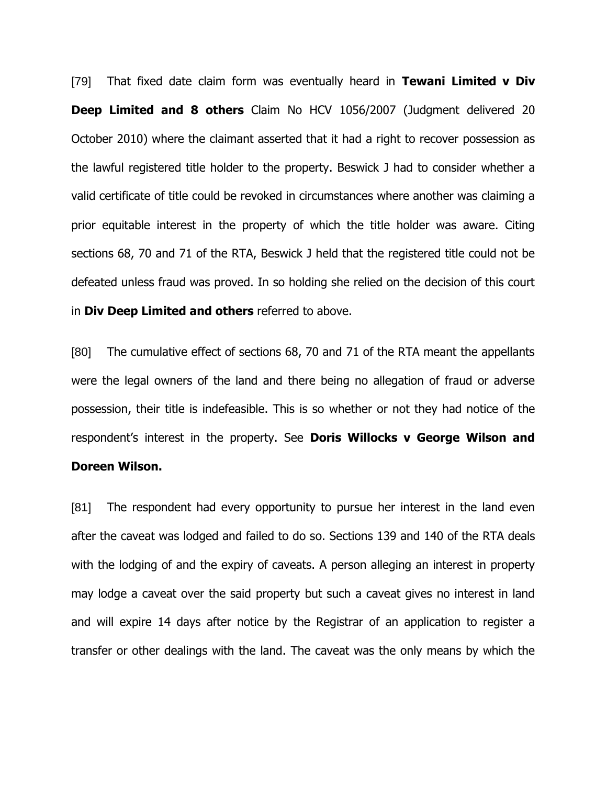[79] That fixed date claim form was eventually heard in **Tewani Limited v Div Deep Limited and 8 others** Claim No HCV 1056/2007 (Judgment delivered 20 October 2010) where the claimant asserted that it had a right to recover possession as the lawful registered title holder to the property. Beswick J had to consider whether a valid certificate of title could be revoked in circumstances where another was claiming a prior equitable interest in the property of which the title holder was aware. Citing sections 68, 70 and 71 of the RTA, Beswick J held that the registered title could not be defeated unless fraud was proved. In so holding she relied on the decision of this court in **Div Deep Limited and others** referred to above.

[80] The cumulative effect of sections 68, 70 and 71 of the RTA meant the appellants were the legal owners of the land and there being no allegation of fraud or adverse possession, their title is indefeasible. This is so whether or not they had notice of the respondent's interest in the property. See **Doris Willocks v George Wilson and Doreen Wilson.** 

[81] The respondent had every opportunity to pursue her interest in the land even after the caveat was lodged and failed to do so. Sections 139 and 140 of the RTA deals with the lodging of and the expiry of caveats. A person alleging an interest in property may lodge a caveat over the said property but such a caveat gives no interest in land and will expire 14 days after notice by the Registrar of an application to register a transfer or other dealings with the land. The caveat was the only means by which the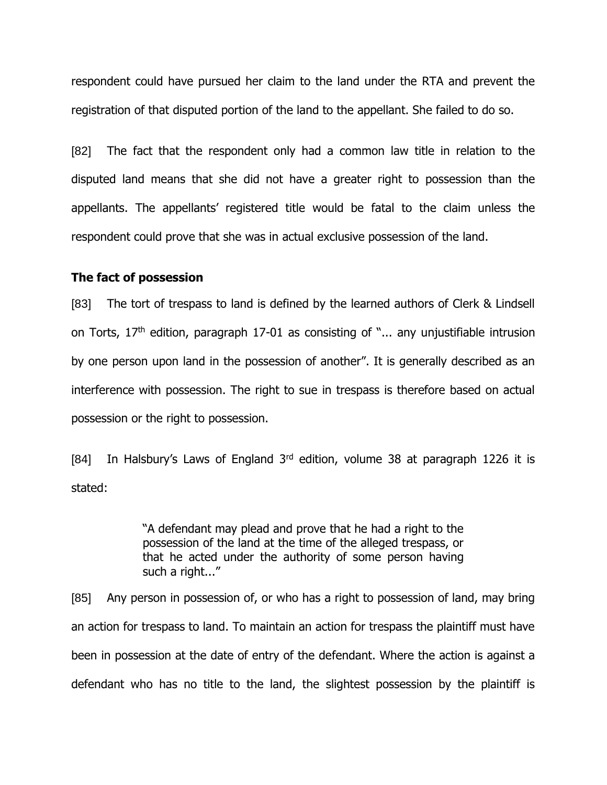respondent could have pursued her claim to the land under the RTA and prevent the registration of that disputed portion of the land to the appellant. She failed to do so.

[82] The fact that the respondent only had a common law title in relation to the disputed land means that she did not have a greater right to possession than the appellants. The appellants' registered title would be fatal to the claim unless the respondent could prove that she was in actual exclusive possession of the land.

#### **The fact of possession**

[83] The tort of trespass to land is defined by the learned authors of Clerk & Lindsell on Torts,  $17<sup>th</sup>$  edition, paragraph 17-01 as consisting of "... any unjustifiable intrusion by one person upon land in the possession of another". It is generally described as an interference with possession. The right to sue in trespass is therefore based on actual possession or the right to possession.

[84] In Halsbury's Laws of England  $3<sup>rd</sup>$  edition, volume 38 at paragraph 1226 it is stated:

> "A defendant may plead and prove that he had a right to the possession of the land at the time of the alleged trespass, or that he acted under the authority of some person having such a right..."

[85] Any person in possession of, or who has a right to possession of land, may bring an action for trespass to land. To maintain an action for trespass the plaintiff must have been in possession at the date of entry of the defendant. Where the action is against a defendant who has no title to the land, the slightest possession by the plaintiff is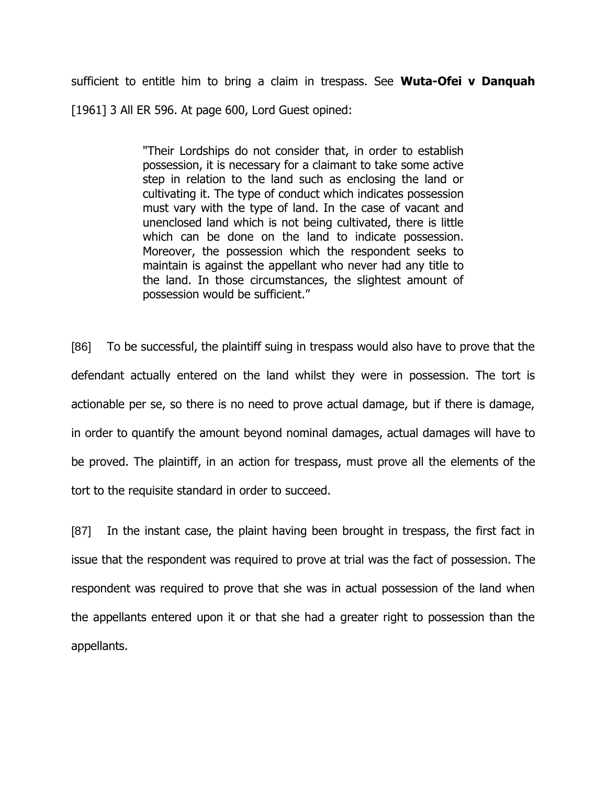sufficient to entitle him to bring a claim in trespass. See **Wuta-Ofei v Danquah** [1961] 3 All ER 596. At page 600, Lord Guest opined:

> "Their Lordships do not consider that, in order to establish possession, it is necessary for a claimant to take some active step in relation to the land such as enclosing the land or cultivating it. The type of conduct which indicates possession must vary with the type of land. In the case of vacant and unenclosed land which is not being cultivated, there is little which can be done on the land to indicate possession. Moreover, the possession which the respondent seeks to maintain is against the appellant who never had any title to the land. In those circumstances, the slightest amount of possession would be sufficient."

[86] To be successful, the plaintiff suing in trespass would also have to prove that the defendant actually entered on the land whilst they were in possession. The tort is actionable per se, so there is no need to prove actual damage, but if there is damage, in order to quantify the amount beyond nominal damages, actual damages will have to be proved. The plaintiff, in an action for trespass, must prove all the elements of the tort to the requisite standard in order to succeed.

[87] In the instant case, the plaint having been brought in trespass, the first fact in issue that the respondent was required to prove at trial was the fact of possession. The respondent was required to prove that she was in actual possession of the land when the appellants entered upon it or that she had a greater right to possession than the appellants.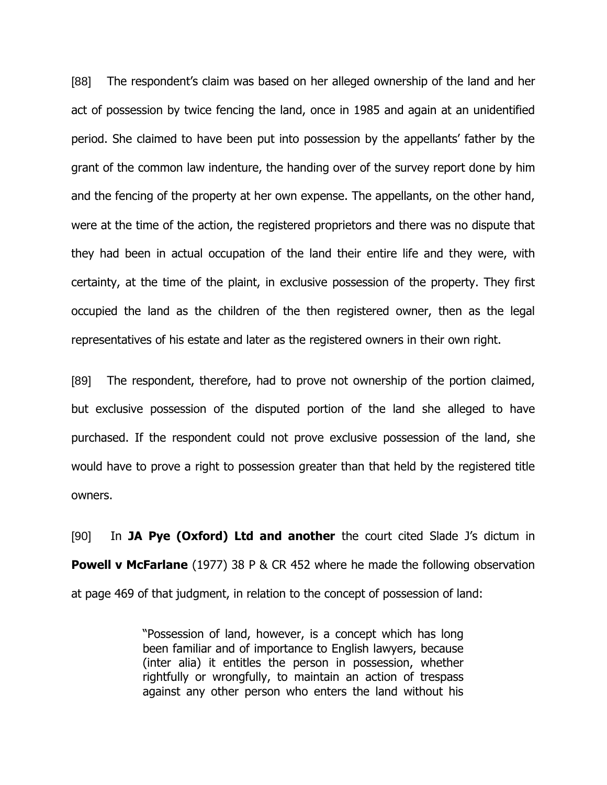[88] The respondent's claim was based on her alleged ownership of the land and her act of possession by twice fencing the land, once in 1985 and again at an unidentified period. She claimed to have been put into possession by the appellants' father by the grant of the common law indenture, the handing over of the survey report done by him and the fencing of the property at her own expense. The appellants, on the other hand, were at the time of the action, the registered proprietors and there was no dispute that they had been in actual occupation of the land their entire life and they were, with certainty, at the time of the plaint, in exclusive possession of the property. They first occupied the land as the children of the then registered owner, then as the legal representatives of his estate and later as the registered owners in their own right.

[89] The respondent, therefore, had to prove not ownership of the portion claimed, but exclusive possession of the disputed portion of the land she alleged to have purchased. If the respondent could not prove exclusive possession of the land, she would have to prove a right to possession greater than that held by the registered title owners.

[90] In **JA Pye (Oxford) Ltd and another** the court cited Slade J's dictum in **Powell v McFarlane** (1977) 38 P & CR 452 where he made the following observation at page 469 of that judgment, in relation to the concept of possession of land:

> "Possession of land, however, is a concept which has long been familiar and of importance to English lawyers, because (inter alia) it entitles the person in possession, whether rightfully or wrongfully, to maintain an action of trespass against any other person who enters the land without his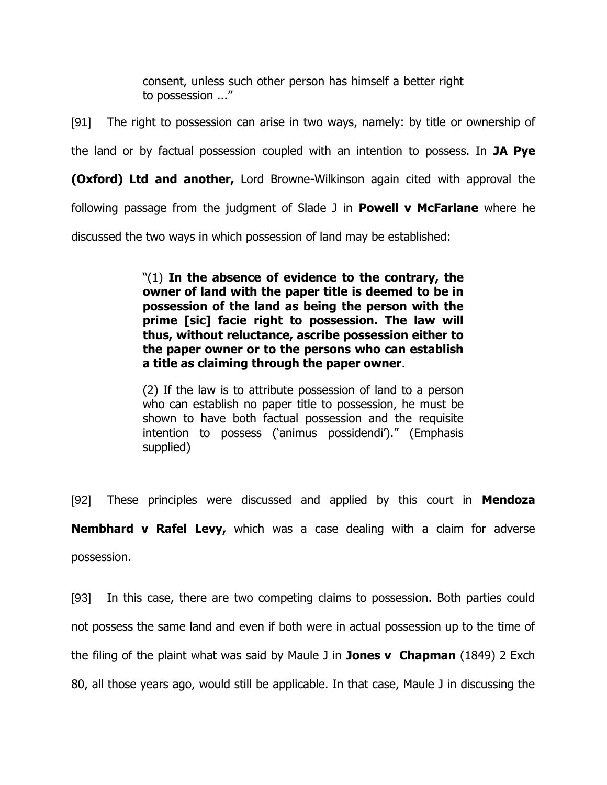consent, unless such other person has himself a better right to possession ..."

[91] The right to possession can arise in two ways, namely: by title or ownership of the land or by factual possession coupled with an intention to possess. In **JA Pye (Oxford) Ltd and another,** Lord Browne-Wilkinson again cited with approval the following passage from the judgment of Slade J in **Powell v McFarlane** where he discussed the two ways in which possession of land may be established:

> "(1) **In the absence of evidence to the contrary, the owner of land with the paper title is deemed to be in possession of the land as being the person with the prime [sic] facie right to possession. The law will thus, without reluctance, ascribe possession either to the paper owner or to the persons who can establish a title as claiming through the paper owner**.

> (2) If the law is to attribute possession of land to a person who can establish no paper title to possession, he must be shown to have both factual possession and the requisite intention to possess ('animus possidendi')." (Emphasis supplied)

[92] These principles were discussed and applied by this court in **Mendoza Nembhard v Rafel Levy,** which was a case dealing with a claim for adverse possession.

[93] In this case, there are two competing claims to possession. Both parties could not possess the same land and even if both were in actual possession up to the time of the filing of the plaint what was said by Maule J in **Jones v Chapman** (1849) 2 Exch 80, all those years ago, would still be applicable. In that case, Maule J in discussing the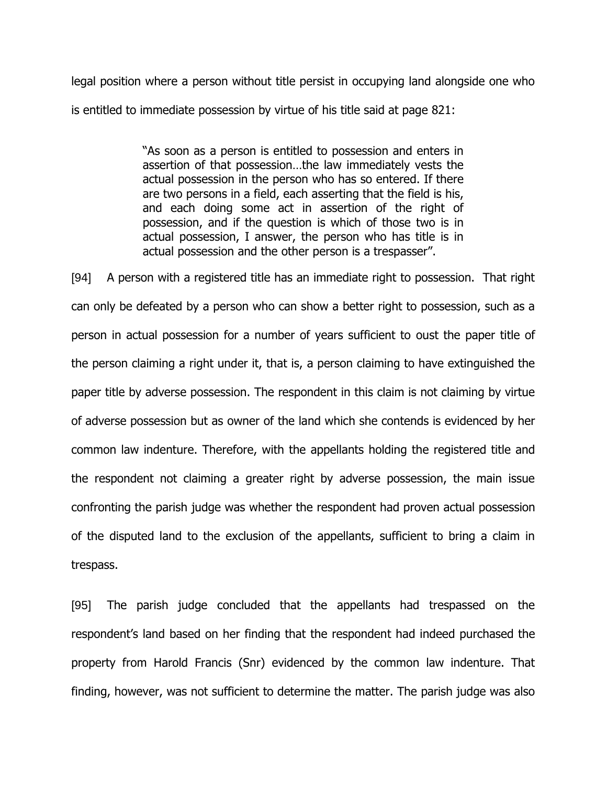legal position where a person without title persist in occupying land alongside one who is entitled to immediate possession by virtue of his title said at page 821:

> "As soon as a person is entitled to possession and enters in assertion of that possession…the law immediately vests the actual possession in the person who has so entered. If there are two persons in a field, each asserting that the field is his, and each doing some act in assertion of the right of possession, and if the question is which of those two is in actual possession, I answer, the person who has title is in actual possession and the other person is a trespasser".

[94] A person with a registered title has an immediate right to possession. That right can only be defeated by a person who can show a better right to possession, such as a person in actual possession for a number of years sufficient to oust the paper title of the person claiming a right under it, that is, a person claiming to have extinguished the paper title by adverse possession. The respondent in this claim is not claiming by virtue of adverse possession but as owner of the land which she contends is evidenced by her common law indenture. Therefore, with the appellants holding the registered title and the respondent not claiming a greater right by adverse possession, the main issue confronting the parish judge was whether the respondent had proven actual possession of the disputed land to the exclusion of the appellants, sufficient to bring a claim in trespass.

[95] The parish judge concluded that the appellants had trespassed on the respondent's land based on her finding that the respondent had indeed purchased the property from Harold Francis (Snr) evidenced by the common law indenture. That finding, however, was not sufficient to determine the matter. The parish judge was also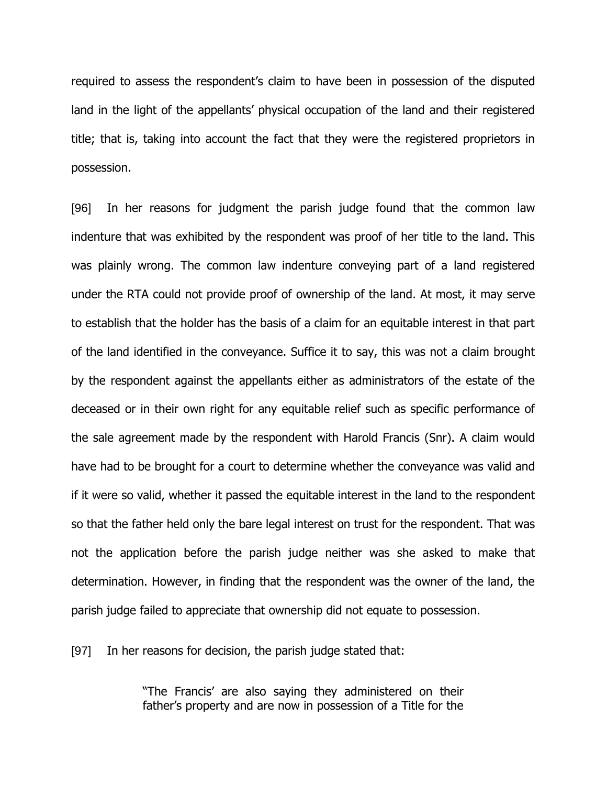required to assess the respondent's claim to have been in possession of the disputed land in the light of the appellants' physical occupation of the land and their registered title; that is, taking into account the fact that they were the registered proprietors in possession.

[96] In her reasons for judgment the parish judge found that the common law indenture that was exhibited by the respondent was proof of her title to the land. This was plainly wrong. The common law indenture conveying part of a land registered under the RTA could not provide proof of ownership of the land. At most, it may serve to establish that the holder has the basis of a claim for an equitable interest in that part of the land identified in the conveyance. Suffice it to say, this was not a claim brought by the respondent against the appellants either as administrators of the estate of the deceased or in their own right for any equitable relief such as specific performance of the sale agreement made by the respondent with Harold Francis (Snr). A claim would have had to be brought for a court to determine whether the conveyance was valid and if it were so valid, whether it passed the equitable interest in the land to the respondent so that the father held only the bare legal interest on trust for the respondent. That was not the application before the parish judge neither was she asked to make that determination. However, in finding that the respondent was the owner of the land, the parish judge failed to appreciate that ownership did not equate to possession.

[97] In her reasons for decision, the parish judge stated that:

"The Francis' are also saying they administered on their father's property and are now in possession of a Title for the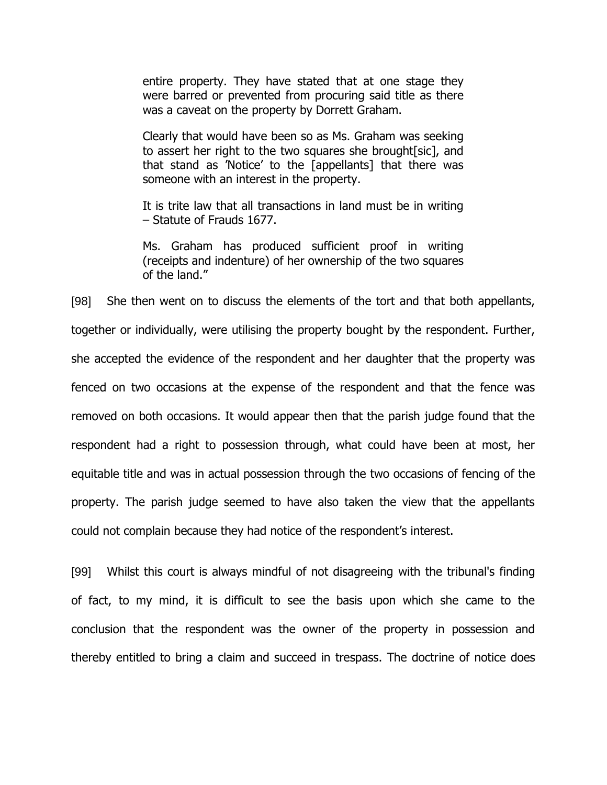entire property. They have stated that at one stage they were barred or prevented from procuring said title as there was a caveat on the property by Dorrett Graham.

Clearly that would have been so as Ms. Graham was seeking to assert her right to the two squares she brought[sic], and that stand as 'Notice' to the [appellants] that there was someone with an interest in the property.

It is trite law that all transactions in land must be in writing – Statute of Frauds 1677.

Ms. Graham has produced sufficient proof in writing (receipts and indenture) of her ownership of the two squares of the land."

[98] She then went on to discuss the elements of the tort and that both appellants, together or individually, were utilising the property bought by the respondent. Further, she accepted the evidence of the respondent and her daughter that the property was fenced on two occasions at the expense of the respondent and that the fence was removed on both occasions. It would appear then that the parish judge found that the respondent had a right to possession through, what could have been at most, her equitable title and was in actual possession through the two occasions of fencing of the property. The parish judge seemed to have also taken the view that the appellants could not complain because they had notice of the respondent's interest.

[99] Whilst this court is always mindful of not disagreeing with the tribunal's finding of fact, to my mind, it is difficult to see the basis upon which she came to the conclusion that the respondent was the owner of the property in possession and thereby entitled to bring a claim and succeed in trespass. The doctrine of notice does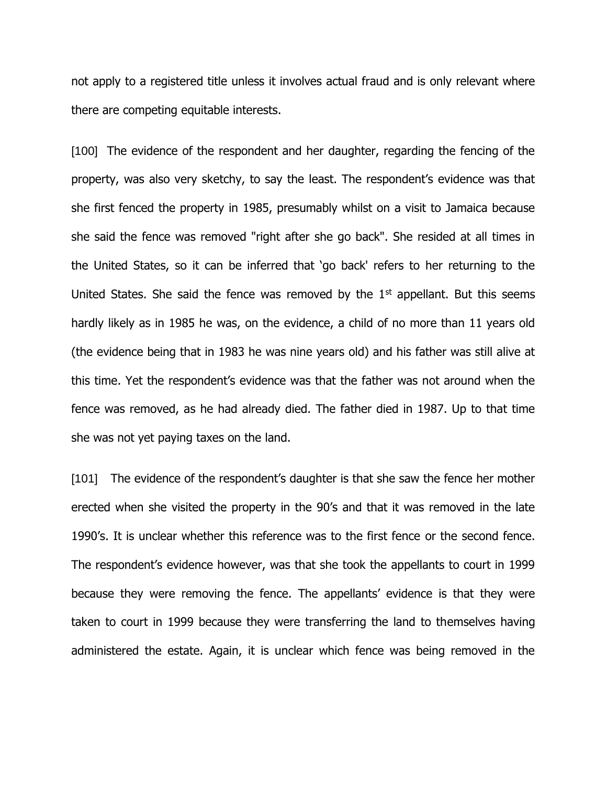not apply to a registered title unless it involves actual fraud and is only relevant where there are competing equitable interests.

[100] The evidence of the respondent and her daughter, regarding the fencing of the property, was also very sketchy, to say the least. The respondent's evidence was that she first fenced the property in 1985, presumably whilst on a visit to Jamaica because she said the fence was removed "right after she go back". She resided at all times in the United States, so it can be inferred that 'go back' refers to her returning to the United States. She said the fence was removed by the  $1<sup>st</sup>$  appellant. But this seems hardly likely as in 1985 he was, on the evidence, a child of no more than 11 years old (the evidence being that in 1983 he was nine years old) and his father was still alive at this time. Yet the respondent's evidence was that the father was not around when the fence was removed, as he had already died. The father died in 1987. Up to that time she was not yet paying taxes on the land.

[101] The evidence of the respondent's daughter is that she saw the fence her mother erected when she visited the property in the 90's and that it was removed in the late 1990's. It is unclear whether this reference was to the first fence or the second fence. The respondent's evidence however, was that she took the appellants to court in 1999 because they were removing the fence. The appellants' evidence is that they were taken to court in 1999 because they were transferring the land to themselves having administered the estate. Again, it is unclear which fence was being removed in the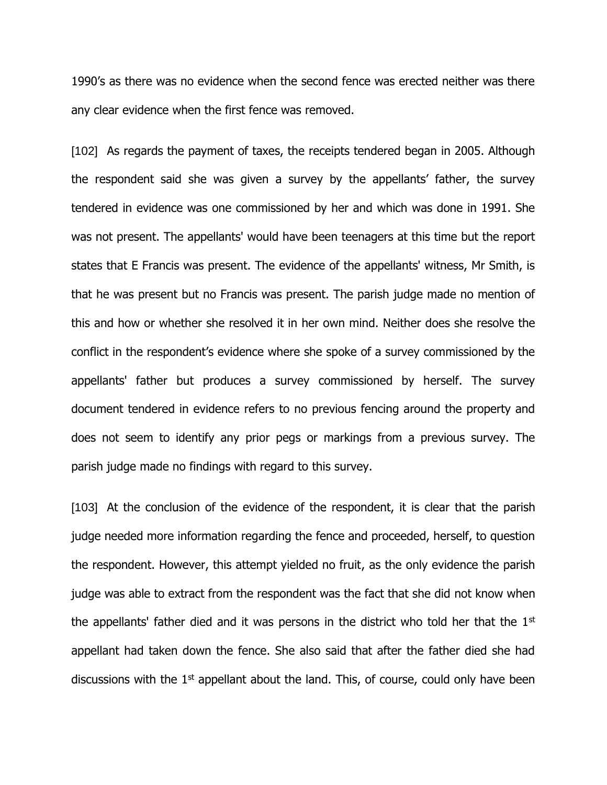1990's as there was no evidence when the second fence was erected neither was there any clear evidence when the first fence was removed.

[102] As regards the payment of taxes, the receipts tendered began in 2005. Although the respondent said she was given a survey by the appellants' father, the survey tendered in evidence was one commissioned by her and which was done in 1991. She was not present. The appellants' would have been teenagers at this time but the report states that E Francis was present. The evidence of the appellants' witness, Mr Smith, is that he was present but no Francis was present. The parish judge made no mention of this and how or whether she resolved it in her own mind. Neither does she resolve the conflict in the respondent's evidence where she spoke of a survey commissioned by the appellants' father but produces a survey commissioned by herself. The survey document tendered in evidence refers to no previous fencing around the property and does not seem to identify any prior pegs or markings from a previous survey. The parish judge made no findings with regard to this survey.

[103] At the conclusion of the evidence of the respondent, it is clear that the parish judge needed more information regarding the fence and proceeded, herself, to question the respondent. However, this attempt yielded no fruit, as the only evidence the parish judge was able to extract from the respondent was the fact that she did not know when the appellants' father died and it was persons in the district who told her that the 1<sup>st</sup> appellant had taken down the fence. She also said that after the father died she had discussions with the  $1<sup>st</sup>$  appellant about the land. This, of course, could only have been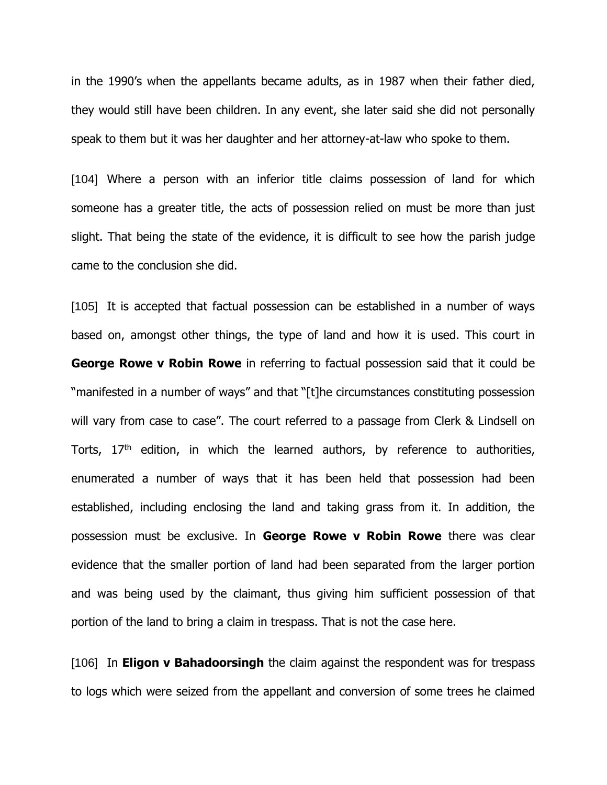in the 1990's when the appellants became adults, as in 1987 when their father died, they would still have been children. In any event, she later said she did not personally speak to them but it was her daughter and her attorney-at-law who spoke to them.

[104] Where a person with an inferior title claims possession of land for which someone has a greater title, the acts of possession relied on must be more than just slight. That being the state of the evidence, it is difficult to see how the parish judge came to the conclusion she did.

[105] It is accepted that factual possession can be established in a number of ways based on, amongst other things, the type of land and how it is used. This court in **George Rowe v Robin Rowe** in referring to factual possession said that it could be "manifested in a number of ways" and that "[t]he circumstances constituting possession will vary from case to case". The court referred to a passage from Clerk & Lindsell on Torts,  $17<sup>th</sup>$  edition, in which the learned authors, by reference to authorities, enumerated a number of ways that it has been held that possession had been established, including enclosing the land and taking grass from it. In addition, the possession must be exclusive. In **George Rowe v Robin Rowe** there was clear evidence that the smaller portion of land had been separated from the larger portion and was being used by the claimant, thus giving him sufficient possession of that portion of the land to bring a claim in trespass. That is not the case here.

[106] In **Eligon v Bahadoorsingh** the claim against the respondent was for trespass to logs which were seized from the appellant and conversion of some trees he claimed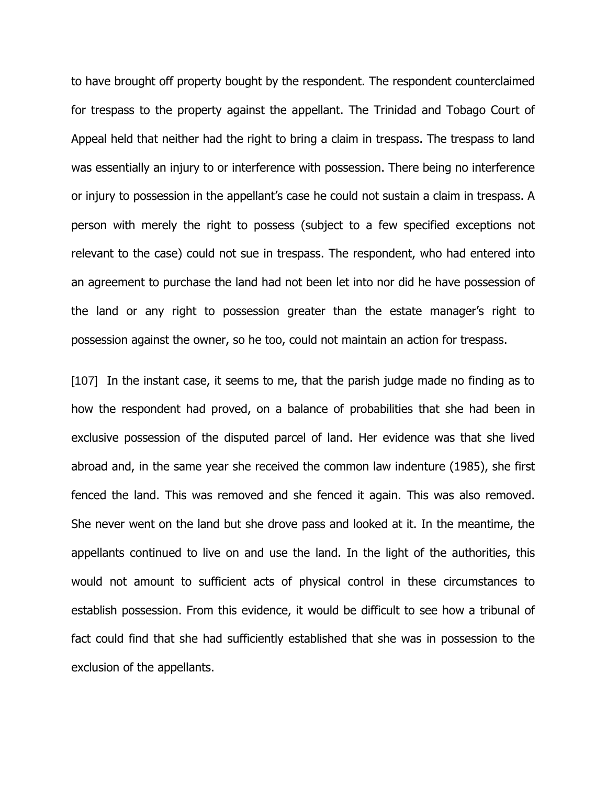to have brought off property bought by the respondent. The respondent counterclaimed for trespass to the property against the appellant. The Trinidad and Tobago Court of Appeal held that neither had the right to bring a claim in trespass. The trespass to land was essentially an injury to or interference with possession. There being no interference or injury to possession in the appellant's case he could not sustain a claim in trespass. A person with merely the right to possess (subject to a few specified exceptions not relevant to the case) could not sue in trespass. The respondent, who had entered into an agreement to purchase the land had not been let into nor did he have possession of the land or any right to possession greater than the estate manager's right to possession against the owner, so he too, could not maintain an action for trespass.

[107] In the instant case, it seems to me, that the parish judge made no finding as to how the respondent had proved, on a balance of probabilities that she had been in exclusive possession of the disputed parcel of land. Her evidence was that she lived abroad and, in the same year she received the common law indenture (1985), she first fenced the land. This was removed and she fenced it again. This was also removed. She never went on the land but she drove pass and looked at it. In the meantime, the appellants continued to live on and use the land. In the light of the authorities, this would not amount to sufficient acts of physical control in these circumstances to establish possession. From this evidence, it would be difficult to see how a tribunal of fact could find that she had sufficiently established that she was in possession to the exclusion of the appellants.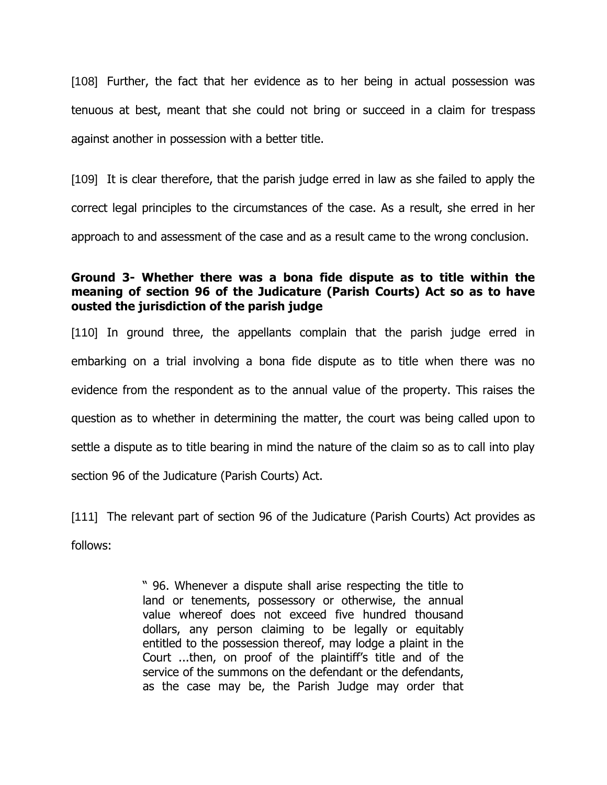[108] Further, the fact that her evidence as to her being in actual possession was tenuous at best, meant that she could not bring or succeed in a claim for trespass against another in possession with a better title.

[109] It is clear therefore, that the parish judge erred in law as she failed to apply the correct legal principles to the circumstances of the case. As a result, she erred in her approach to and assessment of the case and as a result came to the wrong conclusion.

## **Ground 3- Whether there was a bona fide dispute as to title within the meaning of section 96 of the Judicature (Parish Courts) Act so as to have ousted the jurisdiction of the parish judge**

[110] In ground three, the appellants complain that the parish judge erred in embarking on a trial involving a bona fide dispute as to title when there was no evidence from the respondent as to the annual value of the property. This raises the question as to whether in determining the matter, the court was being called upon to settle a dispute as to title bearing in mind the nature of the claim so as to call into play section 96 of the Judicature (Parish Courts) Act.

[111] The relevant part of section 96 of the Judicature (Parish Courts) Act provides as follows:

> " 96. Whenever a dispute shall arise respecting the title to land or tenements, possessory or otherwise, the annual value whereof does not exceed five hundred thousand dollars, any person claiming to be legally or equitably entitled to the possession thereof, may lodge a plaint in the Court ...then, on proof of the plaintiff's title and of the service of the summons on the defendant or the defendants, as the case may be, the Parish Judge may order that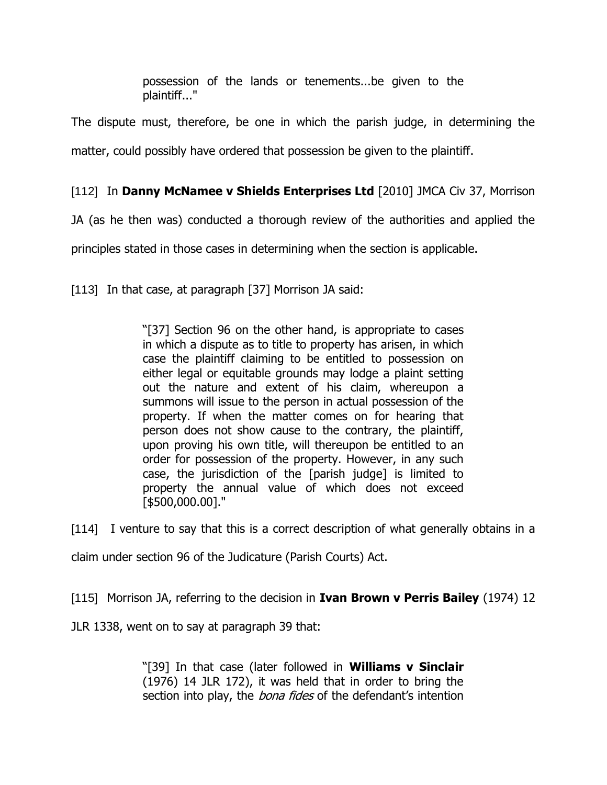possession of the lands or tenements...be given to the plaintiff..."

The dispute must, therefore, be one in which the parish judge, in determining the matter, could possibly have ordered that possession be given to the plaintiff.

# [112] In **Danny McNamee v Shields Enterprises Ltd** [2010] JMCA Civ 37, Morrison

JA (as he then was) conducted a thorough review of the authorities and applied the

principles stated in those cases in determining when the section is applicable.

[113] In that case, at paragraph [37] Morrison JA said:

"[37] Section 96 on the other hand, is appropriate to cases in which a dispute as to title to property has arisen, in which case the plaintiff claiming to be entitled to possession on either legal or equitable grounds may lodge a plaint setting out the nature and extent of his claim, whereupon a summons will issue to the person in actual possession of the property. If when the matter comes on for hearing that person does not show cause to the contrary, the plaintiff, upon proving his own title, will thereupon be entitled to an order for possession of the property. However, in any such case, the jurisdiction of the [parish judge] is limited to property the annual value of which does not exceed [\$500,000.00]."

[114] I venture to say that this is a correct description of what generally obtains in a

claim under section 96 of the Judicature (Parish Courts) Act.

[115] Morrison JA, referring to the decision in **Ivan Brown v Perris Bailey** (1974) 12

JLR 1338, went on to say at paragraph 39 that:

"[39] In that case (later followed in **Williams v Sinclair** (1976) 14 JLR 172), it was held that in order to bring the section into play, the *bona fides* of the defendant's intention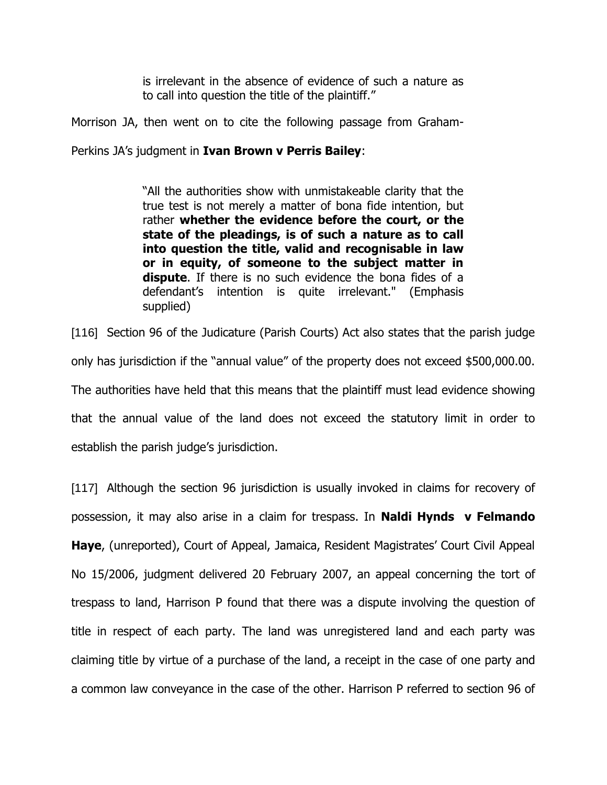is irrelevant in the absence of evidence of such a nature as to call into question the title of the plaintiff."

Morrison JA, then went on to cite the following passage from Graham-

Perkins JA's judgment in **Ivan Brown v Perris Bailey**:

"All the authorities show with unmistakeable clarity that the true test is not merely a matter of bona fide intention, but rather **whether the evidence before the court, or the state of the pleadings, is of such a nature as to call into question the title, valid and recognisable in law or in equity, of someone to the subject matter in dispute**. If there is no such evidence the bona fides of a defendant's intention is quite irrelevant." (Emphasis supplied)

[116] Section 96 of the Judicature (Parish Courts) Act also states that the parish judge only has jurisdiction if the "annual value" of the property does not exceed \$500,000.00. The authorities have held that this means that the plaintiff must lead evidence showing that the annual value of the land does not exceed the statutory limit in order to establish the parish judge's jurisdiction.

[117] Although the section 96 jurisdiction is usually invoked in claims for recovery of possession, it may also arise in a claim for trespass. In **Naldi Hynds v Felmando Haye**, (unreported), Court of Appeal, Jamaica, Resident Magistrates' Court Civil Appeal No 15/2006, judgment delivered 20 February 2007, an appeal concerning the tort of trespass to land, Harrison P found that there was a dispute involving the question of title in respect of each party. The land was unregistered land and each party was claiming title by virtue of a purchase of the land, a receipt in the case of one party and a common law conveyance in the case of the other. Harrison P referred to section 96 of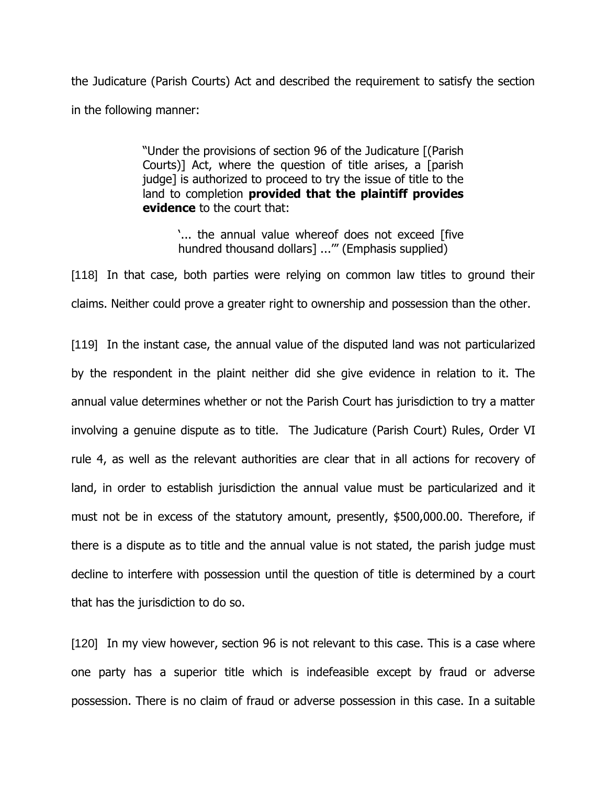the Judicature (Parish Courts) Act and described the requirement to satisfy the section in the following manner:

> "Under the provisions of section 96 of the Judicature [(Parish Courts)] Act, where the question of title arises, a [parish judge] is authorized to proceed to try the issue of title to the land to completion **provided that the plaintiff provides evidence** to the court that:

> > '... the annual value whereof does not exceed [five hundred thousand dollars] ...'" (Emphasis supplied)

[118] In that case, both parties were relying on common law titles to ground their claims. Neither could prove a greater right to ownership and possession than the other.

[119] In the instant case, the annual value of the disputed land was not particularized by the respondent in the plaint neither did she give evidence in relation to it. The annual value determines whether or not the Parish Court has jurisdiction to try a matter involving a genuine dispute as to title. The Judicature (Parish Court) Rules, Order VI rule 4, as well as the relevant authorities are clear that in all actions for recovery of land, in order to establish jurisdiction the annual value must be particularized and it must not be in excess of the statutory amount, presently, \$500,000.00. Therefore, if there is a dispute as to title and the annual value is not stated, the parish judge must decline to interfere with possession until the question of title is determined by a court that has the jurisdiction to do so.

[120] In my view however, section 96 is not relevant to this case. This is a case where one party has a superior title which is indefeasible except by fraud or adverse possession. There is no claim of fraud or adverse possession in this case. In a suitable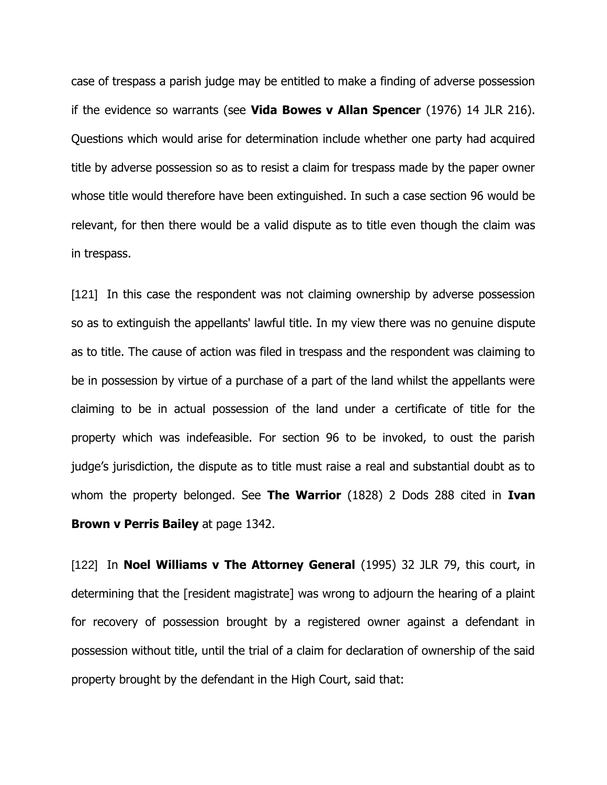case of trespass a parish judge may be entitled to make a finding of adverse possession if the evidence so warrants (see **Vida Bowes v Allan Spencer** (1976) 14 JLR 216). Questions which would arise for determination include whether one party had acquired title by adverse possession so as to resist a claim for trespass made by the paper owner whose title would therefore have been extinguished. In such a case section 96 would be relevant, for then there would be a valid dispute as to title even though the claim was in trespass.

[121] In this case the respondent was not claiming ownership by adverse possession so as to extinguish the appellants' lawful title. In my view there was no genuine dispute as to title. The cause of action was filed in trespass and the respondent was claiming to be in possession by virtue of a purchase of a part of the land whilst the appellants were claiming to be in actual possession of the land under a certificate of title for the property which was indefeasible. For section 96 to be invoked, to oust the parish judge's jurisdiction, the dispute as to title must raise a real and substantial doubt as to whom the property belonged. See **The Warrior** (1828) 2 Dods 288 cited in **Ivan Brown v Perris Bailey** at page 1342.

[122] In **Noel Williams v The Attorney General** (1995) 32 JLR 79, this court, in determining that the [resident magistrate] was wrong to adjourn the hearing of a plaint for recovery of possession brought by a registered owner against a defendant in possession without title, until the trial of a claim for declaration of ownership of the said property brought by the defendant in the High Court, said that: